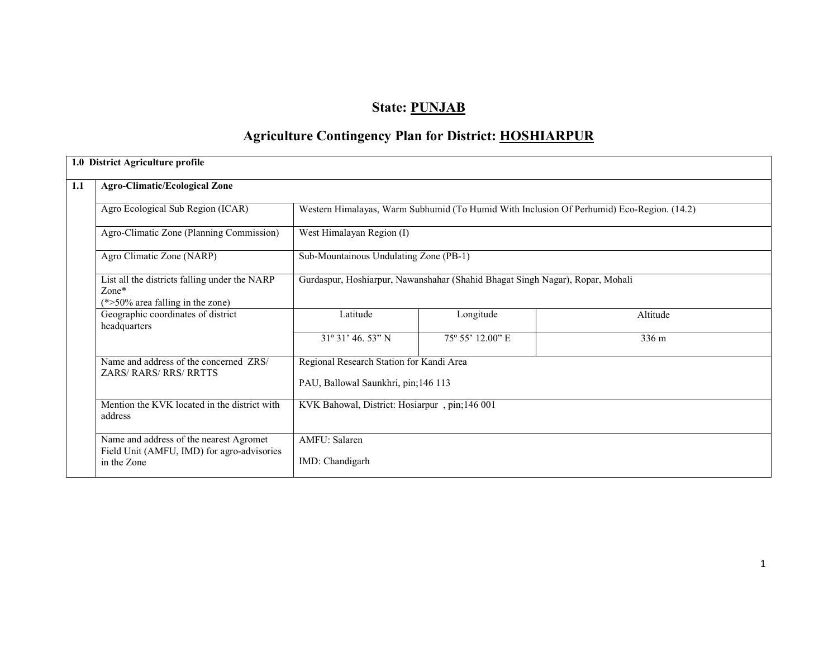## State: PUNJAB

# Agriculture Contingency Plan for District: HOSHIARPUR

| <b>Agro-Climatic/Ecological Zone</b>                                                            |                                                                               |                                                                                           |          |  |  |  |
|-------------------------------------------------------------------------------------------------|-------------------------------------------------------------------------------|-------------------------------------------------------------------------------------------|----------|--|--|--|
| Agro Ecological Sub Region (ICAR)                                                               |                                                                               | Western Himalayas, Warm Subhumid (To Humid With Inclusion Of Perhumid) Eco-Region. (14.2) |          |  |  |  |
| Agro-Climatic Zone (Planning Commission)                                                        | West Himalayan Region (I)                                                     |                                                                                           |          |  |  |  |
| Agro Climatic Zone (NARP)                                                                       | Sub-Mountainous Undulating Zone (PB-1)                                        |                                                                                           |          |  |  |  |
| List all the districts falling under the NARP<br>$Zone*$<br>$(*>50\%$ area falling in the zone) | Gurdaspur, Hoshiarpur, Nawanshahar (Shahid Bhagat Singh Nagar), Ropar, Mohali |                                                                                           |          |  |  |  |
| Geographic coordinates of district<br>headquarters                                              | Latitude                                                                      | Longitude                                                                                 | Altitude |  |  |  |
|                                                                                                 | $31^{\circ}31'$ 46.53" N                                                      | 75° 55' 12.00" E                                                                          | 336 m    |  |  |  |
| Name and address of the concerned ZRS/                                                          | Regional Research Station for Kandi Area                                      |                                                                                           |          |  |  |  |
| <b>ZARS/RARS/RRS/RRTTS</b>                                                                      | PAU, Ballowal Saunkhri, pin;146 113                                           |                                                                                           |          |  |  |  |
| Mention the KVK located in the district with<br>address                                         | KVK Bahowal, District: Hosiarpur, pin;146 001                                 |                                                                                           |          |  |  |  |
| Name and address of the nearest Agromet                                                         | <b>AMFU</b> : Salaren                                                         |                                                                                           |          |  |  |  |
| Field Unit (AMFU, IMD) for agro-advisories<br>in the Zone                                       | IMD: Chandigarh                                                               |                                                                                           |          |  |  |  |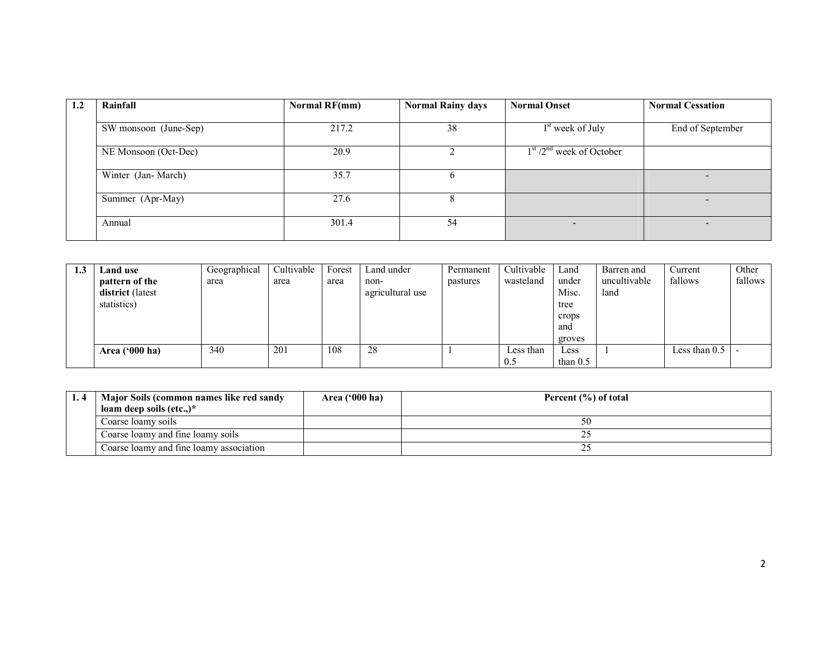| 1.2 | Rainfall              | <b>Normal RF(mm)</b> | <b>Normal Rainy days</b> | <b>Normal Onset</b>          | <b>Normal Cessation</b> |
|-----|-----------------------|----------------------|--------------------------|------------------------------|-------------------------|
|     | SW monsoon (June-Sep) | 217.2                | 38                       | I <sup>st</sup> week of July | End of September        |
|     | NE Monsoon (Oct-Dec)  | 20.9                 |                          | $1st / 2nd$ week of October  |                         |
|     | Winter (Jan-March)    | 35.7                 |                          |                              |                         |
|     | Summer (Apr-May)      | 27.6                 |                          |                              |                         |
|     | Annual                | 301.4                | 54                       | $\overline{\phantom{0}}$     |                         |

| 1.J | Land use                | Geographical | Cultivable | Forest | Land under       | Permanent | Cultivable | Land       | Barren and   | Current       | Other   |
|-----|-------------------------|--------------|------------|--------|------------------|-----------|------------|------------|--------------|---------------|---------|
|     | pattern of the          | area         | area       | area   | non-             | pastures  | wasteland  | under      | uncultivable | fallows       | fallows |
|     | <b>district</b> (latest |              |            |        | agricultural use |           |            | Misc.      | land         |               |         |
|     | statistics)             |              |            |        |                  |           |            | tree       |              |               |         |
|     |                         |              |            |        |                  |           |            | crops      |              |               |         |
|     |                         |              |            |        |                  |           |            | and        |              |               |         |
|     |                         |              |            |        |                  |           |            | groves     |              |               |         |
|     | Area $(900 \text{ ha})$ | 340          | 201        | 108    | 28               |           | Less than  | Less       |              | Less than 0.5 |         |
|     |                         |              |            |        |                  |           | 0.5        | than $0.5$ |              |               |         |

| . | Major Soils (common names like red sandy | Area $(900 \text{ ha})$ | Percent $(\% )$ of total |
|---|------------------------------------------|-------------------------|--------------------------|
|   | loam deep soils $(\text{etc.})^*$        |                         |                          |
|   | Coarse loamy soils                       |                         |                          |
|   | Coarse loamy and fine loamy soils        |                         |                          |
|   | Coarse loamy and fine loamy association  |                         |                          |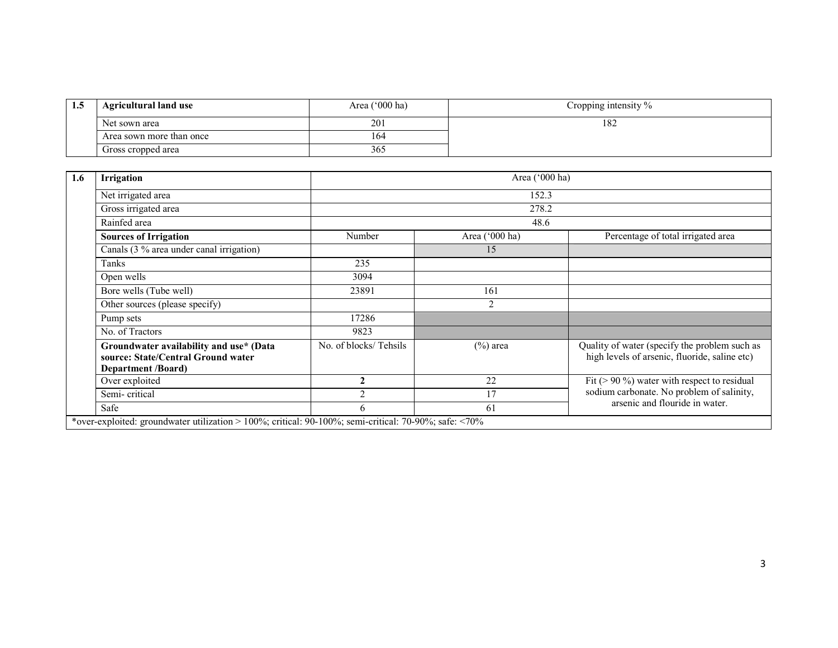| 1.3 | <b>Agricultural land use</b> | Area ('000 ha) | Cropping intensity $\%$ |
|-----|------------------------------|----------------|-------------------------|
|     | Net sown area                | 201            | 182                     |
|     | Area sown more than once     | 164            |                         |
|     | Gross cropped area           | 365            |                         |

| 1.6 | <b>Irrigation</b>                                                                                          |                       | Area ('000 ha) |                                                                                                |  |  |  |  |  |  |
|-----|------------------------------------------------------------------------------------------------------------|-----------------------|----------------|------------------------------------------------------------------------------------------------|--|--|--|--|--|--|
|     | Net irrigated area                                                                                         |                       | 152.3          |                                                                                                |  |  |  |  |  |  |
|     | Gross irrigated area                                                                                       |                       | 278.2          |                                                                                                |  |  |  |  |  |  |
|     | Rainfed area                                                                                               |                       | 48.6           |                                                                                                |  |  |  |  |  |  |
|     | <b>Sources of Irrigation</b>                                                                               | Number                | Area ('000 ha) | Percentage of total irrigated area                                                             |  |  |  |  |  |  |
|     | Canals (3 % area under canal irrigation)                                                                   |                       | 15             |                                                                                                |  |  |  |  |  |  |
|     | Tanks                                                                                                      | 235                   |                |                                                                                                |  |  |  |  |  |  |
|     | Open wells                                                                                                 | 3094                  |                |                                                                                                |  |  |  |  |  |  |
|     | Bore wells (Tube well)                                                                                     | 23891                 | 161            |                                                                                                |  |  |  |  |  |  |
|     | Other sources (please specify)                                                                             |                       | 2              |                                                                                                |  |  |  |  |  |  |
|     | Pump sets                                                                                                  | 17286                 |                |                                                                                                |  |  |  |  |  |  |
|     | No. of Tractors                                                                                            | 9823                  |                |                                                                                                |  |  |  |  |  |  |
|     | Groundwater availability and use* (Data<br>source: State/Central Ground water<br><b>Department /Board)</b> | No. of blocks/Tehsils | $(\%)$ area    | Quality of water (specify the problem such as<br>high levels of arsenic, fluoride, saline etc) |  |  |  |  |  |  |
|     | Over exploited                                                                                             | $\mathbf{2}$          | 22             | Fit ( $> 90\%$ ) water with respect to residual                                                |  |  |  |  |  |  |
|     | Semi-critical                                                                                              |                       | 17             | sodium carbonate. No problem of salinity,                                                      |  |  |  |  |  |  |
|     | Safe                                                                                                       | 6                     | 61             | arsenic and flouride in water.                                                                 |  |  |  |  |  |  |
|     | *over-exploited: groundwater utilization > 100%; critical: 90-100%; semi-critical: 70-90%; safe: <70%      |                       |                |                                                                                                |  |  |  |  |  |  |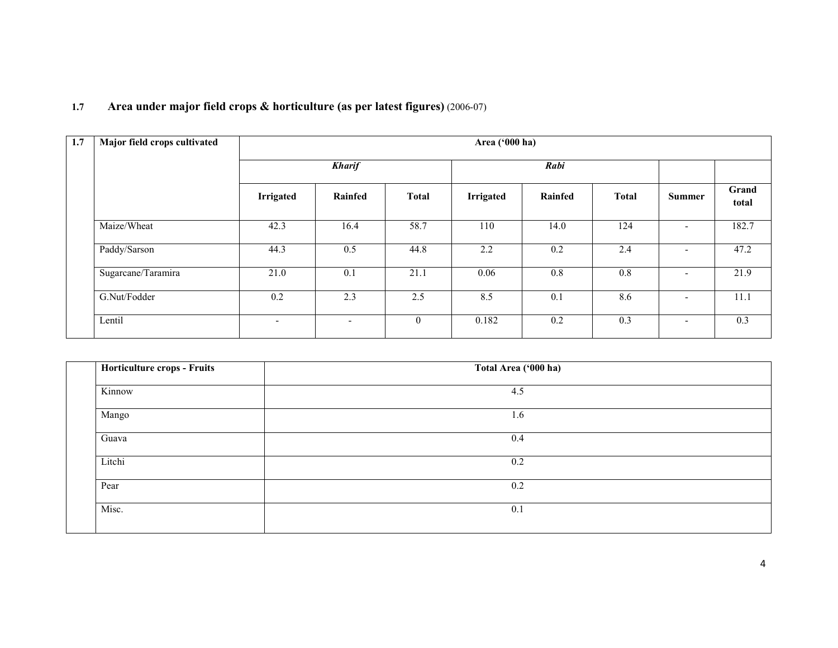#### 1.7 Area under major field crops & horticulture (as per latest figures) (2006-07)

| 1.7 | Major field crops cultivated | Area ('000 ha)   |                          |              |                  |         |              |               |                |
|-----|------------------------------|------------------|--------------------------|--------------|------------------|---------|--------------|---------------|----------------|
|     |                              | <b>Kharif</b>    |                          |              | Rabi             |         |              |               |                |
|     |                              | <b>Irrigated</b> | Rainfed                  | <b>Total</b> | <b>Irrigated</b> | Rainfed | <b>Total</b> | <b>Summer</b> | Grand<br>total |
|     | Maize/Wheat                  | 42.3             | 16.4                     | 58.7         | 110              | 14.0    | 124          |               | 182.7          |
|     | Paddy/Sarson                 | 44.3             | 0.5                      | 44.8         | 2.2              | 0.2     | 2.4          |               | 47.2           |
|     | Sugarcane/Taramira           | 21.0             | 0.1                      | 21.1         | 0.06             | 0.8     | 0.8          |               | 21.9           |
|     | G.Nut/Fodder                 | 0.2              | 2.3                      | 2.5          | 8.5              | 0.1     | 8.6          |               | 11.1           |
|     | Lentil                       | $\sim$           | $\overline{\phantom{0}}$ | $\mathbf{0}$ | 0.182            | 0.2     | 0.3          |               | 0.3            |

| Horticulture crops - Fruits | Total Area ('000 ha) |  |
|-----------------------------|----------------------|--|
| Kinnow                      | 4.5                  |  |
| Mango                       | 1.6                  |  |
| Guava                       | 0.4                  |  |
| Litchi                      | 0.2                  |  |
| Pear                        | 0.2                  |  |
| Misc.                       | 0.1                  |  |
|                             |                      |  |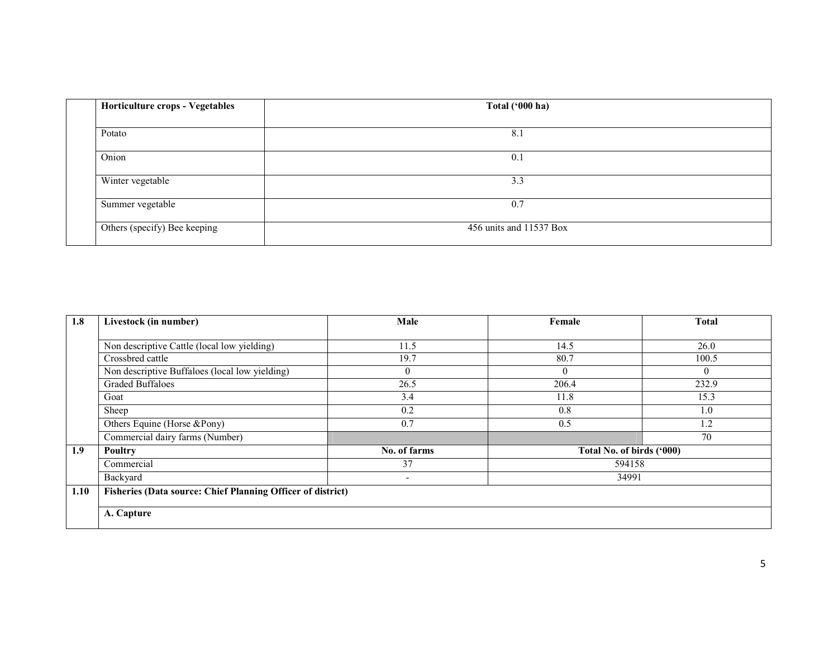| Horticulture crops - Vegetables | Total ('000 ha)         |
|---------------------------------|-------------------------|
| Potato                          | 8.1                     |
| Onion                           | 0.1                     |
| Winter vegetable                | 3.3                     |
| Summer vegetable                | 0.7                     |
| Others (specify) Bee keeping    | 456 units and 11537 Box |

| 1.8  | Livestock (in number)                                              | Male                     | Female                    | <b>Total</b> |  |  |  |  |
|------|--------------------------------------------------------------------|--------------------------|---------------------------|--------------|--|--|--|--|
|      |                                                                    |                          |                           |              |  |  |  |  |
|      | Non descriptive Cattle (local low yielding)                        | 11.5                     | 14.5                      | 26.0         |  |  |  |  |
|      | Crossbred cattle                                                   | 19.7                     | 80.7                      | 100.5        |  |  |  |  |
|      | Non descriptive Buffaloes (local low yielding)                     | $\overline{0}$           | $\Omega$                  | $\theta$     |  |  |  |  |
|      | <b>Graded Buffaloes</b>                                            | 26.5                     | 206.4                     | 232.9        |  |  |  |  |
|      | Goat                                                               | 3.4                      | 11.8                      | 15.3         |  |  |  |  |
|      | Sheep                                                              | 0.2                      | 0.8                       | 1.0          |  |  |  |  |
|      | Others Equine (Horse &Pony)                                        | 0.7                      | 0.5                       | 1.2          |  |  |  |  |
|      | Commercial dairy farms (Number)                                    |                          |                           | 70           |  |  |  |  |
| 1.9  | <b>Poultry</b>                                                     | No. of farms             | Total No. of birds ('000) |              |  |  |  |  |
|      | Commercial                                                         | 37                       | 594158                    |              |  |  |  |  |
|      | Backyard                                                           | $\overline{\phantom{a}}$ | 34991                     |              |  |  |  |  |
| 1.10 | <b>Fisheries (Data source: Chief Planning Officer of district)</b> |                          |                           |              |  |  |  |  |
|      |                                                                    |                          |                           |              |  |  |  |  |
|      | A. Capture                                                         |                          |                           |              |  |  |  |  |
|      |                                                                    |                          |                           |              |  |  |  |  |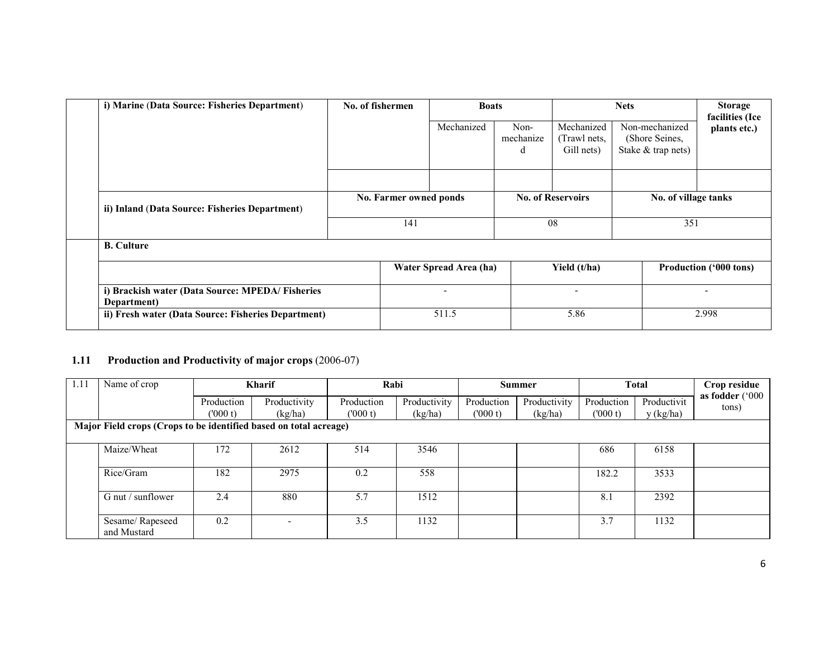| i) Marine (Data Source: Fisheries Department)                  | No. of fishermen |                          | <b>Boats</b>           |                                         | <b>Nets</b>                                            |                                 |
|----------------------------------------------------------------|------------------|--------------------------|------------------------|-----------------------------------------|--------------------------------------------------------|---------------------------------|
|                                                                |                  | Mechanized               | Non-<br>mechanize<br>d | Mechanized<br>Trawl nets,<br>Gill nets) | Non-mechanized<br>(Shore Seines,<br>Stake & trap nets) | facilities (Ice<br>plants etc.) |
|                                                                |                  |                          |                        |                                         |                                                        |                                 |
| ii) Inland (Data Source: Fisheries Department)                 |                  | No. Farmer owned ponds   |                        | <b>No. of Reservoirs</b>                | No. of village tanks                                   |                                 |
|                                                                | 141              |                          | 08                     |                                         | 351                                                    |                                 |
| <b>B.</b> Culture                                              |                  |                          |                        |                                         |                                                        |                                 |
|                                                                |                  | Water Spread Area (ha)   |                        | Yield (t/ha)                            |                                                        | <b>Production ('000 tons)</b>   |
| i) Brackish water (Data Source: MPEDA/Fisheries<br>Department) |                  | $\overline{\phantom{a}}$ |                        | ۰                                       |                                                        |                                 |
| ii) Fresh water (Data Source: Fisheries Department)            |                  | 511.5                    |                        | 5.86                                    |                                                        | 2.998                           |

#### 1.11 Production and Productivity of major crops (2006-07)

| 1.11                                                              | Name of crop                   |            | <b>Kharif</b> | Rabi       |              | <b>Summer</b> |              | <b>Total</b> |             | Crop residue       |
|-------------------------------------------------------------------|--------------------------------|------------|---------------|------------|--------------|---------------|--------------|--------------|-------------|--------------------|
|                                                                   |                                | Production | Productivity  | Production | Productivity | Production    | Productivity | Production   | Productivit | as fodder $('000)$ |
|                                                                   |                                | (000t)     | (kg/ha)       | (000 t)    | (kg/ha)      | (000 t)       | (kg/ha)      | (000 t)      | y (kg/ha)   | tons)              |
| Major Field crops (Crops to be identified based on total acreage) |                                |            |               |            |              |               |              |              |             |                    |
|                                                                   |                                |            |               |            |              |               |              |              |             |                    |
|                                                                   | Maize/Wheat                    | 172        | 2612          | 514        | 3546         |               |              | 686          | 6158        |                    |
|                                                                   |                                |            |               |            |              |               |              |              |             |                    |
|                                                                   | Rice/Gram                      | 182        | 2975          | 0.2        | 558          |               |              | 182.2        | 3533        |                    |
|                                                                   |                                |            |               |            |              |               |              |              |             |                    |
|                                                                   | G nut / sunflower              | 2.4        | 880           | 5.7        | 1512         |               |              | 8.1          | 2392        |                    |
|                                                                   |                                |            |               |            |              |               |              |              |             |                    |
|                                                                   | Sesame/Rapeseed<br>and Mustard | 0.2        |               | 3.5        | 1132         |               |              | 3.7          | 1132        |                    |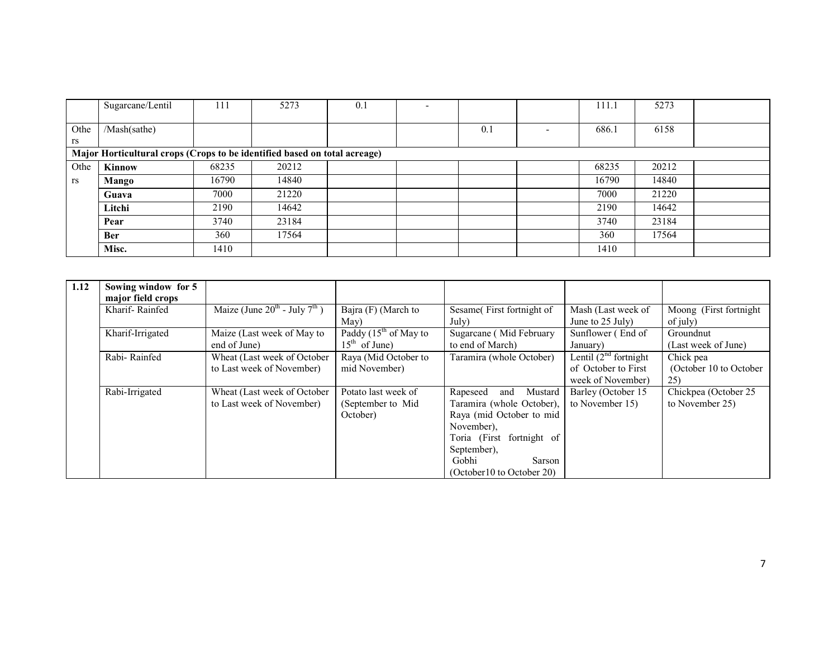|      | Sugarcane/Lentil                                                          | 111   | 5273  | 0.1 | $\overline{\phantom{a}}$ |     |                          | 111.1 | 5273  |  |
|------|---------------------------------------------------------------------------|-------|-------|-----|--------------------------|-----|--------------------------|-------|-------|--|
|      |                                                                           |       |       |     |                          |     |                          |       |       |  |
| Othe | /Mash(sathe)                                                              |       |       |     |                          | 0.1 | $\overline{\phantom{0}}$ | 686.1 | 6158  |  |
| rs   |                                                                           |       |       |     |                          |     |                          |       |       |  |
|      | Major Horticultural crops (Crops to be identified based on total acreage) |       |       |     |                          |     |                          |       |       |  |
| Othe | Kinnow                                                                    | 68235 | 20212 |     |                          |     |                          | 68235 | 20212 |  |
| rs   | Mango                                                                     | 16790 | 14840 |     |                          |     |                          | 16790 | 14840 |  |
|      | Guava                                                                     | 7000  | 21220 |     |                          |     |                          | 7000  | 21220 |  |
|      | Litchi                                                                    | 2190  | 14642 |     |                          |     |                          | 2190  | 14642 |  |
|      | Pear                                                                      | 3740  | 23184 |     |                          |     |                          | 3740  | 23184 |  |
|      | <b>Ber</b>                                                                | 360   | 17564 |     |                          |     |                          | 360   | 17564 |  |
|      | Misc.                                                                     | 1410  |       |     |                          |     |                          | 1410  |       |  |

| 1.12 | Sowing window for 5<br>major field crops |                                                          |                                                       |                                                                                                                                                                                               |                                                                        |                                            |
|------|------------------------------------------|----------------------------------------------------------|-------------------------------------------------------|-----------------------------------------------------------------------------------------------------------------------------------------------------------------------------------------------|------------------------------------------------------------------------|--------------------------------------------|
|      | Kharif-Rainfed                           | Maize (June $20^{th}$ - July $7^{th}$ )                  | Bajra (F) (March to<br>May)                           | Sesame(First fortnight of<br>July)                                                                                                                                                            | Mash (Last week of<br>June to 25 July)                                 | Moong (First fortnight)<br>of july)        |
|      | Kharif-Irrigated                         | Maize (Last week of May to<br>end of June)               | Paddy $(15^{th}$ of May to<br>$15th$ of June)         | Sugarcane (Mid February<br>to end of March)                                                                                                                                                   | Sunflower (End of<br>January)                                          | Groundnut<br>(Last week of June)           |
|      | Rabi-Rainfed                             | Wheat (Last week of October<br>to Last week of November) | Raya (Mid October to<br>mid November)                 | Taramira (whole October)                                                                                                                                                                      | Lentil $(2^{nd}$ fortnight<br>of October to First<br>week of November) | Chick pea<br>(October 10 to October<br>25) |
|      | Rabi-Irrigated                           | Wheat (Last week of October<br>to Last week of November) | Potato last week of<br>(September to Mid)<br>October) | Mustard<br>Rapeseed<br>and<br>Taramira (whole October)<br>Raya (mid October to mid<br>November).<br>Toria (First fortnight of<br>September).<br>Gobhi<br>Sarson<br>(October 10 to October 20) | Barley (October 15<br>to November 15)                                  | Chickpea (October 25)<br>to November 25)   |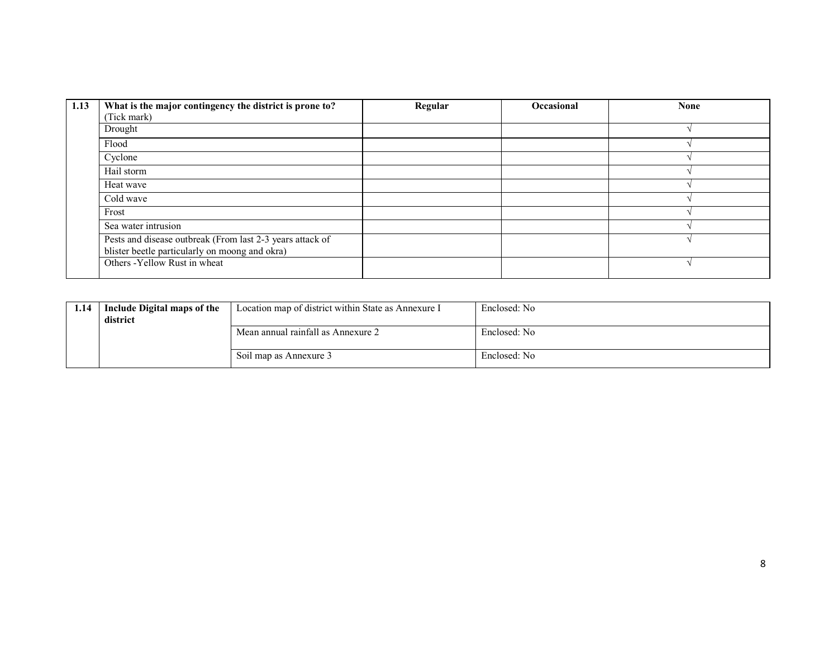| 1.13 | What is the major contingency the district is prone to?<br>(Tick mark)                                      | Regular | Occasional | <b>None</b> |
|------|-------------------------------------------------------------------------------------------------------------|---------|------------|-------------|
|      | Drought                                                                                                     |         |            |             |
|      | Flood                                                                                                       |         |            |             |
|      | Cyclone                                                                                                     |         |            |             |
|      | Hail storm                                                                                                  |         |            |             |
|      | Heat wave                                                                                                   |         |            |             |
|      | Cold wave                                                                                                   |         |            |             |
|      | Frost                                                                                                       |         |            |             |
|      | Sea water intrusion                                                                                         |         |            |             |
|      | Pests and disease outbreak (From last 2-3 years attack of<br>blister beetle particularly on moong and okra) |         |            |             |
|      | Others - Yellow Rust in wheat                                                                               |         |            |             |

| 1.14 | Include Digital maps of the<br>district | Location map of district within State as Annexure I | Enclosed: No |
|------|-----------------------------------------|-----------------------------------------------------|--------------|
|      |                                         | Mean annual rainfall as Annexure 2                  | Enclosed: No |
|      |                                         | Soil map as Annexure 3                              | Enclosed: No |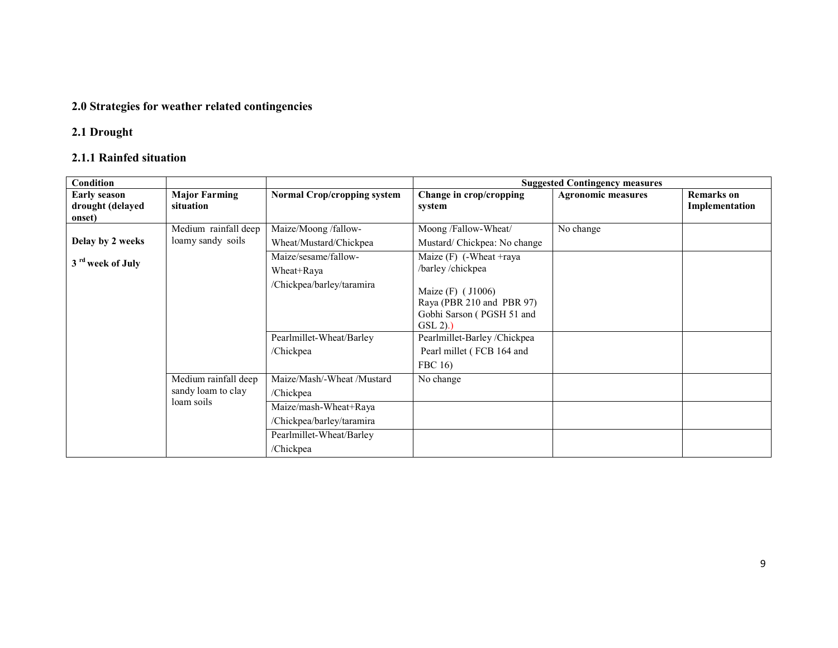## 2.0 Strategies for weather related contingencies

## 2.1 Drought

## 2.1.1 Rainfed situation

| Condition                                         |                                                          |                                                                                                                           |                                                                                                                                            | <b>Suggested Contingency measures</b> |                                     |
|---------------------------------------------------|----------------------------------------------------------|---------------------------------------------------------------------------------------------------------------------------|--------------------------------------------------------------------------------------------------------------------------------------------|---------------------------------------|-------------------------------------|
| <b>Early season</b><br>drought (delayed<br>onset) | <b>Major Farming</b><br>situation                        | <b>Normal Crop/cropping system</b>                                                                                        | Change in crop/cropping<br>system                                                                                                          | <b>Agronomic measures</b>             | <b>Remarks</b> on<br>Implementation |
| Delay by 2 weeks                                  | Medium rainfall deep<br>loamy sandy soils                | Maize/Moong /fallow-<br>Wheat/Mustard/Chickpea                                                                            | Moong /Fallow-Wheat/<br>Mustard/Chickpea: No change                                                                                        | No change                             |                                     |
| 3 <sup>rd</sup> week of July                      |                                                          | Maize/sesame/fallow-<br>Wheat+Raya<br>/Chickpea/barley/taramira                                                           | Maize $(F)$ (-Wheat +raya<br>/barley/chickpea<br>Maize (F) (J1006)<br>Raya (PBR 210 and PBR 97)<br>Gobhi Sarson (PGSH 51 and<br>$GSL(2)$ . |                                       |                                     |
|                                                   |                                                          | Pearlmillet-Wheat/Barley<br>/Chickpea                                                                                     | Pearlmillet-Barley/Chickpea<br>Pearl millet (FCB 164 and<br>FBC 16)                                                                        |                                       |                                     |
|                                                   | Medium rainfall deep<br>sandy loam to clay<br>loam soils | Maize/Mash/-Wheat /Mustard<br>/Chickpea<br>Maize/mash-Wheat+Raya<br>/Chickpea/barley/taramira<br>Pearlmillet-Wheat/Barley | No change                                                                                                                                  |                                       |                                     |
|                                                   |                                                          | /Chickpea                                                                                                                 |                                                                                                                                            |                                       |                                     |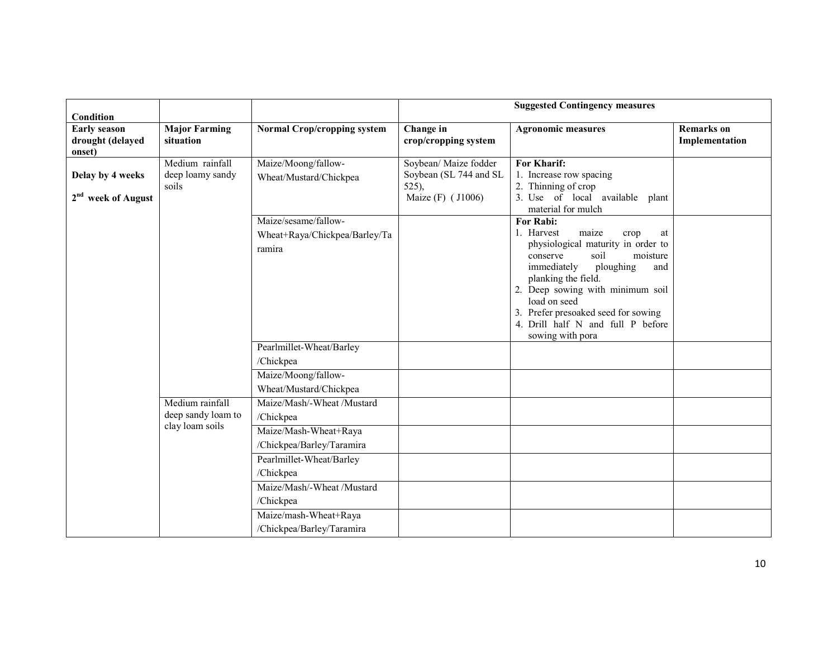| Condition                                          |                                              |                                                                 |                                                                                 | <b>Suggested Contingency measures</b>                                                                                                                                                                                                                                                                                                     |                                     |
|----------------------------------------------------|----------------------------------------------|-----------------------------------------------------------------|---------------------------------------------------------------------------------|-------------------------------------------------------------------------------------------------------------------------------------------------------------------------------------------------------------------------------------------------------------------------------------------------------------------------------------------|-------------------------------------|
| <b>Early season</b><br>drought (delayed<br>onset)  | <b>Major Farming</b><br>situation            | <b>Normal Crop/cropping system</b>                              | Change in<br>crop/cropping system                                               | <b>Agronomic measures</b>                                                                                                                                                                                                                                                                                                                 | <b>Remarks</b> on<br>Implementation |
| Delay by 4 weeks<br>2 <sup>nd</sup> week of August | Medium rainfall<br>deep loamy sandy<br>soils | Maize/Moong/fallow-<br>Wheat/Mustard/Chickpea                   | Soybean/ Maize fodder<br>Soybean (SL 744 and SL<br>$525$ ,<br>Maize (F) (J1006) | For Kharif:<br>1. Increase row spacing<br>2. Thinning of crop<br>3. Use of local available plant<br>material for mulch                                                                                                                                                                                                                    |                                     |
|                                                    |                                              | Maize/sesame/fallow-<br>Wheat+Raya/Chickpea/Barley/Ta<br>ramira |                                                                                 | <b>For Rabi:</b><br>1. Harvest<br>maize<br>crop<br>at<br>physiological maturity in order to<br>soil<br>moisture<br>conserve<br>immediately<br>ploughing<br>and<br>planking the field.<br>2. Deep sowing with minimum soil<br>load on seed<br>3. Prefer presoaked seed for sowing<br>4. Drill half N and full P before<br>sowing with pora |                                     |
|                                                    |                                              | Pearlmillet-Wheat/Barley<br>/Chickpea                           |                                                                                 |                                                                                                                                                                                                                                                                                                                                           |                                     |
|                                                    |                                              | Maize/Moong/fallow-<br>Wheat/Mustard/Chickpea                   |                                                                                 |                                                                                                                                                                                                                                                                                                                                           |                                     |
|                                                    | Medium rainfall<br>deep sandy loam to        | Maize/Mash/-Wheat /Mustard<br>/Chickpea                         |                                                                                 |                                                                                                                                                                                                                                                                                                                                           |                                     |
|                                                    | clay loam soils                              | Maize/Mash-Wheat+Raya<br>/Chickpea/Barley/Taramira              |                                                                                 |                                                                                                                                                                                                                                                                                                                                           |                                     |
|                                                    |                                              | Pearlmillet-Wheat/Barley<br>/Chickpea                           |                                                                                 |                                                                                                                                                                                                                                                                                                                                           |                                     |
|                                                    |                                              | Maize/Mash/-Wheat /Mustard<br>/Chickpea                         |                                                                                 |                                                                                                                                                                                                                                                                                                                                           |                                     |
|                                                    |                                              | Maize/mash-Wheat+Raya<br>/Chickpea/Barley/Taramira              |                                                                                 |                                                                                                                                                                                                                                                                                                                                           |                                     |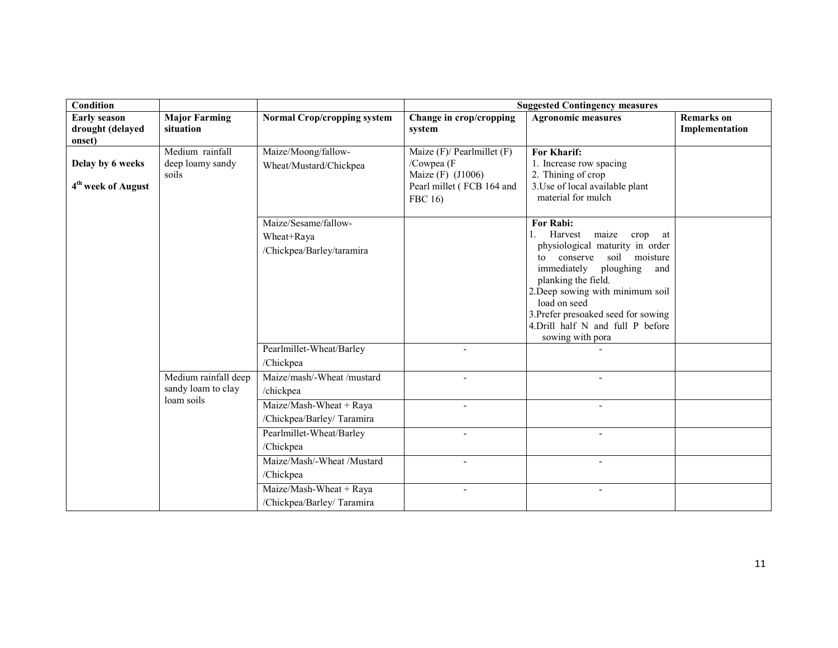| <b>Condition</b>                                   |                                                          |                                                                 | <b>Suggested Contingency measures</b>                                                                      |                                                                                                                                                                                                                                                                                                                                                      |                                     |  |
|----------------------------------------------------|----------------------------------------------------------|-----------------------------------------------------------------|------------------------------------------------------------------------------------------------------------|------------------------------------------------------------------------------------------------------------------------------------------------------------------------------------------------------------------------------------------------------------------------------------------------------------------------------------------------------|-------------------------------------|--|
| <b>Early season</b><br>drought (delayed<br>onset)  | <b>Major Farming</b><br>situation                        | <b>Normal Crop/cropping system</b>                              | Change in crop/cropping<br>system                                                                          | <b>Agronomic measures</b>                                                                                                                                                                                                                                                                                                                            | <b>Remarks</b> on<br>Implementation |  |
| Delay by 6 weeks<br>4 <sup>th</sup> week of August | Medium rainfall<br>deep loamy sandy<br>soils             | Maize/Moong/fallow-<br>Wheat/Mustard/Chickpea                   | Maize $(F)$ / Pearlmillet $(F)$<br>/Cowpea (F<br>Maize (F) (J1006)<br>Pearl millet (FCB 164 and<br>FBC 16) | <b>For Kharif:</b><br>1. Increase row spacing<br>2. Thining of crop<br>3. Use of local available plant<br>material for mulch                                                                                                                                                                                                                         |                                     |  |
|                                                    |                                                          | Maize/Sesame/fallow-<br>Wheat+Raya<br>/Chickpea/Barley/taramira |                                                                                                            | For Rabi:<br>Harvest<br>maize<br>1.<br>crop<br>at<br>physiological maturity in order<br>soil<br>moisture<br>conserve<br>$\mathfrak{t}$<br>immediately<br>ploughing<br>and<br>planking the field.<br>2. Deep sowing with minimum soil<br>load on seed<br>3. Prefer presoaked seed for sowing<br>4. Drill half N and full P before<br>sowing with pora |                                     |  |
|                                                    |                                                          | Pearlmillet-Wheat/Barley<br>/Chickpea                           | $\overline{a}$                                                                                             |                                                                                                                                                                                                                                                                                                                                                      |                                     |  |
|                                                    | Medium rainfall deep<br>sandy loam to clay<br>loam soils | Maize/mash/-Wheat /mustard<br>/chickpea                         |                                                                                                            |                                                                                                                                                                                                                                                                                                                                                      |                                     |  |
|                                                    |                                                          | Maize/Mash-Wheat + Raya<br>/Chickpea/Barley/Taramira            | $\blacksquare$                                                                                             | $\blacksquare$                                                                                                                                                                                                                                                                                                                                       |                                     |  |
|                                                    |                                                          | Pearlmillet-Wheat/Barley<br>/Chickpea                           |                                                                                                            |                                                                                                                                                                                                                                                                                                                                                      |                                     |  |
|                                                    |                                                          | Maize/Mash/-Wheat /Mustard<br>/Chickpea                         | $\sim$                                                                                                     | $\overline{a}$                                                                                                                                                                                                                                                                                                                                       |                                     |  |
|                                                    |                                                          | Maize/Mash-Wheat + Raya<br>/Chickpea/Barley/Taramira            |                                                                                                            |                                                                                                                                                                                                                                                                                                                                                      |                                     |  |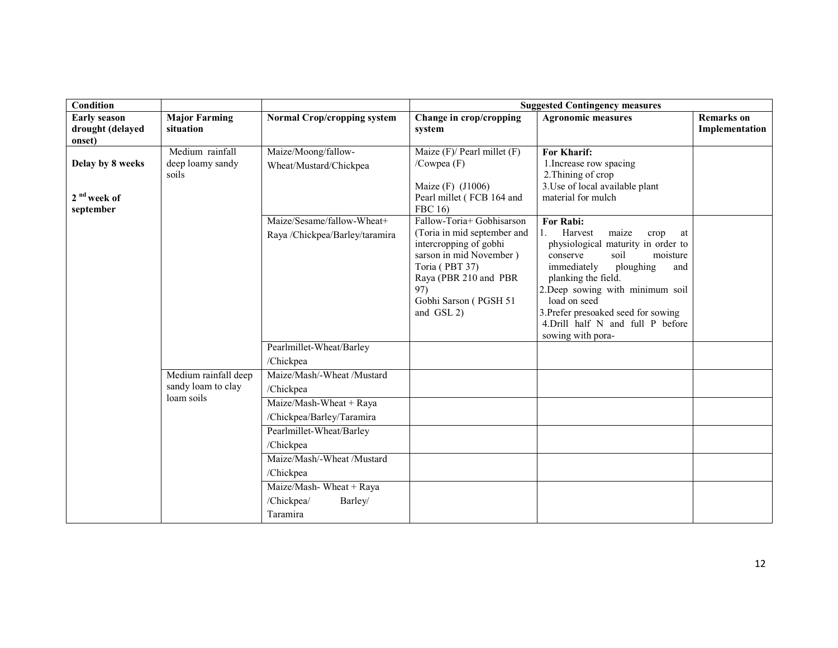| Condition               |                      |                                    |                                                   | <b>Suggested Contingency measures</b>                              |                   |
|-------------------------|----------------------|------------------------------------|---------------------------------------------------|--------------------------------------------------------------------|-------------------|
| <b>Early season</b>     | <b>Major Farming</b> | <b>Normal Crop/cropping system</b> | Change in crop/cropping                           | <b>Agronomic measures</b>                                          | <b>Remarks</b> on |
| drought (delayed        | situation            |                                    | system                                            |                                                                    | Implementation    |
| onset)                  | Medium rainfall      | Maize/Moong/fallow-                | Maize $(F)$ Pearl millet $(F)$                    | For Kharif:                                                        |                   |
| Delay by 8 weeks        | deep loamy sandy     |                                    | /Cowpea $(F)$                                     | 1. Increase row spacing                                            |                   |
|                         | soils                | Wheat/Mustard/Chickpea             |                                                   | 2. Thining of crop                                                 |                   |
|                         |                      |                                    | Maize (F) (J1006)                                 | 3. Use of local available plant                                    |                   |
| 2 <sup>nd</sup> week of |                      |                                    | Pearl millet (FCB 164 and                         | material for mulch                                                 |                   |
| september               |                      |                                    | FBC 16)                                           |                                                                    |                   |
|                         |                      | Maize/Sesame/fallow-Wheat+         | Fallow-Toria+ Gobhisarson                         | For Rabi:                                                          |                   |
|                         |                      | Raya /Chickpea/Barley/taramira     | (Toria in mid september and                       | Harvest<br>maize<br>$1_{-}$<br>crop<br>at                          |                   |
|                         |                      |                                    | intercropping of gobhi<br>sarson in mid November) | physiological maturity in order to<br>soil<br>moisture<br>conserve |                   |
|                         |                      |                                    | Toria (PBT 37)                                    | immediately<br>ploughing<br>and                                    |                   |
|                         |                      |                                    | Raya (PBR 210 and PBR                             | planking the field.                                                |                   |
|                         |                      |                                    | 97)                                               | 2.Deep sowing with minimum soil                                    |                   |
|                         |                      |                                    | Gobhi Sarson (PGSH 51                             | load on seed                                                       |                   |
|                         |                      |                                    | and GSL 2)                                        | 3. Prefer presoaked seed for sowing                                |                   |
|                         |                      |                                    |                                                   | 4. Drill half N and full P before<br>sowing with pora-             |                   |
|                         |                      | Pearlmillet-Wheat/Barley           |                                                   |                                                                    |                   |
|                         |                      | /Chickpea                          |                                                   |                                                                    |                   |
|                         | Medium rainfall deep | Maize/Mash/-Wheat /Mustard         |                                                   |                                                                    |                   |
|                         | sandy loam to clay   | /Chickpea                          |                                                   |                                                                    |                   |
|                         | loam soils           | Maize/Mash-Wheat + Raya            |                                                   |                                                                    |                   |
|                         |                      | /Chickpea/Barley/Taramira          |                                                   |                                                                    |                   |
|                         |                      | Pearlmillet-Wheat/Barley           |                                                   |                                                                    |                   |
|                         |                      | /Chickpea                          |                                                   |                                                                    |                   |
|                         |                      | Maize/Mash/-Wheat /Mustard         |                                                   |                                                                    |                   |
|                         |                      | /Chickpea                          |                                                   |                                                                    |                   |
|                         |                      | Maize/Mash-Wheat + Raya            |                                                   |                                                                    |                   |
|                         |                      | /Chickpea/<br>Barley/              |                                                   |                                                                    |                   |
|                         |                      | Taramira                           |                                                   |                                                                    |                   |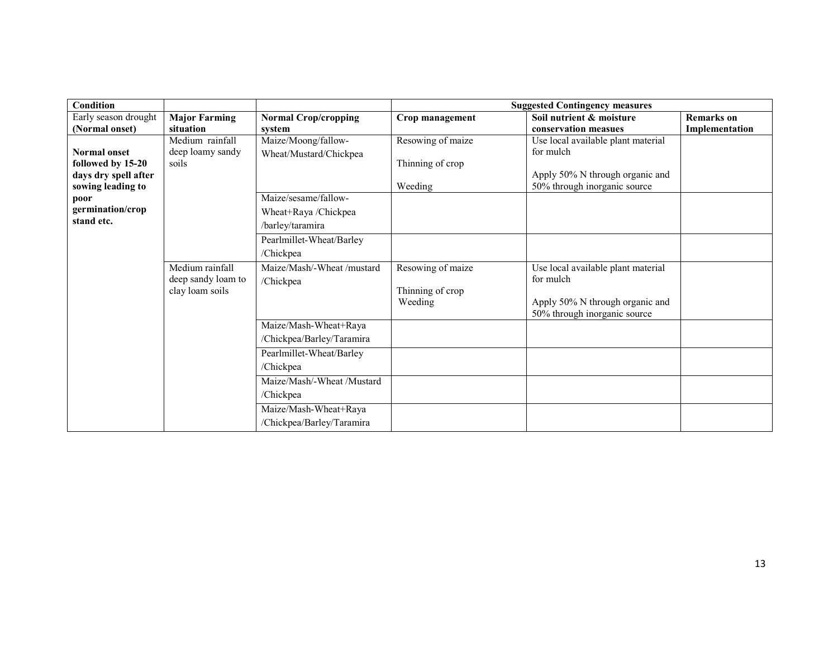| <b>Condition</b>                                                                                                  |                                                          |                                                                                               |                                                  | <b>Suggested Contingency measures</b>                                                                              |                   |
|-------------------------------------------------------------------------------------------------------------------|----------------------------------------------------------|-----------------------------------------------------------------------------------------------|--------------------------------------------------|--------------------------------------------------------------------------------------------------------------------|-------------------|
| Early season drought                                                                                              | <b>Major Farming</b>                                     | <b>Normal Crop/cropping</b>                                                                   | Crop management                                  | Soil nutrient & moisture                                                                                           | <b>Remarks</b> on |
| (Normal onset)                                                                                                    | situation                                                | system                                                                                        |                                                  | conservation measues                                                                                               | Implementation    |
| <b>Normal onset</b><br>followed by 15-20<br>days dry spell after<br>sowing leading to<br>poor<br>germination/crop | Medium rainfall<br>deep loamy sandy<br>soils             | Maize/Moong/fallow-<br>Wheat/Mustard/Chickpea<br>Maize/sesame/fallow-<br>Wheat+Raya /Chickpea | Resowing of maize<br>Thinning of crop<br>Weeding | Use local available plant material<br>for mulch<br>Apply 50% N through organic and<br>50% through inorganic source |                   |
| stand etc.                                                                                                        |                                                          | /barley/taramira                                                                              |                                                  |                                                                                                                    |                   |
|                                                                                                                   |                                                          | Pearlmillet-Wheat/Barley<br>/Chickpea                                                         |                                                  |                                                                                                                    |                   |
|                                                                                                                   | Medium rainfall<br>deep sandy loam to<br>clay loam soils | Maize/Mash/-Wheat /mustard<br>/Chickpea                                                       | Resowing of maize<br>Thinning of crop<br>Weeding | Use local available plant material<br>for mulch<br>Apply 50% N through organic and<br>50% through inorganic source |                   |
|                                                                                                                   |                                                          | Maize/Mash-Wheat+Raya<br>/Chickpea/Barley/Taramira                                            |                                                  |                                                                                                                    |                   |
|                                                                                                                   |                                                          | Pearlmillet-Wheat/Barley<br>/Chickpea                                                         |                                                  |                                                                                                                    |                   |
|                                                                                                                   |                                                          | Maize/Mash/-Wheat /Mustard<br>/Chickpea                                                       |                                                  |                                                                                                                    |                   |
|                                                                                                                   |                                                          | Maize/Mash-Wheat+Raya<br>/Chickpea/Barley/Taramira                                            |                                                  |                                                                                                                    |                   |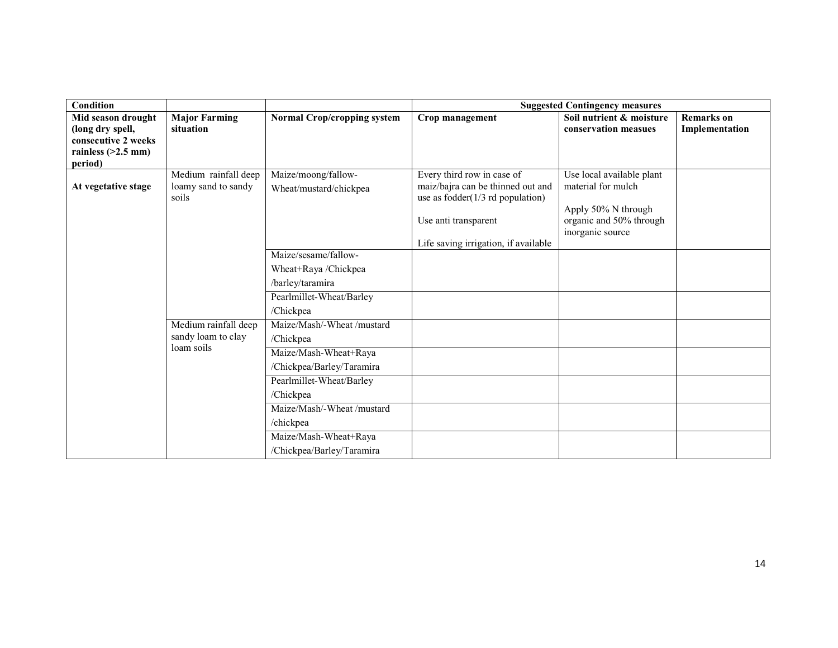| Condition                       |                      |                                    |                                      | <b>Suggested Contingency measures</b> |                   |
|---------------------------------|----------------------|------------------------------------|--------------------------------------|---------------------------------------|-------------------|
| Mid season drought              | <b>Major Farming</b> | <b>Normal Crop/cropping system</b> | Crop management                      | Soil nutrient & moisture              | <b>Remarks</b> on |
| (long dry spell,                | situation            |                                    |                                      | conservation measues                  | Implementation    |
| consecutive 2 weeks             |                      |                                    |                                      |                                       |                   |
| rainless $(>2.5$ mm)<br>period) |                      |                                    |                                      |                                       |                   |
|                                 | Medium rainfall deep | Maize/moong/fallow-                | Every third row in case of           | Use local available plant             |                   |
| At vegetative stage             | loamy sand to sandy  | Wheat/mustard/chickpea             | maiz/bajra can be thinned out and    | material for mulch                    |                   |
|                                 | soils                |                                    | use as fodder( $1/3$ rd population)  |                                       |                   |
|                                 |                      |                                    |                                      | Apply 50% N through                   |                   |
|                                 |                      |                                    | Use anti transparent                 | organic and 50% through               |                   |
|                                 |                      |                                    |                                      | inorganic source                      |                   |
|                                 |                      | Maize/sesame/fallow-               | Life saving irrigation, if available |                                       |                   |
|                                 |                      |                                    |                                      |                                       |                   |
|                                 |                      | Wheat+Raya /Chickpea               |                                      |                                       |                   |
|                                 |                      | /barley/taramira                   |                                      |                                       |                   |
|                                 |                      | Pearlmillet-Wheat/Barley           |                                      |                                       |                   |
|                                 |                      | /Chickpea                          |                                      |                                       |                   |
|                                 | Medium rainfall deep | Maize/Mash/-Wheat /mustard         |                                      |                                       |                   |
|                                 | sandy loam to clay   | /Chickpea                          |                                      |                                       |                   |
|                                 | loam soils           | Maize/Mash-Wheat+Raya              |                                      |                                       |                   |
|                                 |                      | /Chickpea/Barley/Taramira          |                                      |                                       |                   |
|                                 |                      | Pearlmillet-Wheat/Barley           |                                      |                                       |                   |
|                                 |                      | /Chickpea                          |                                      |                                       |                   |
|                                 |                      | Maize/Mash/-Wheat /mustard         |                                      |                                       |                   |
|                                 |                      | /chickpea                          |                                      |                                       |                   |
|                                 |                      | Maize/Mash-Wheat+Raya              |                                      |                                       |                   |
|                                 |                      | /Chickpea/Barley/Taramira          |                                      |                                       |                   |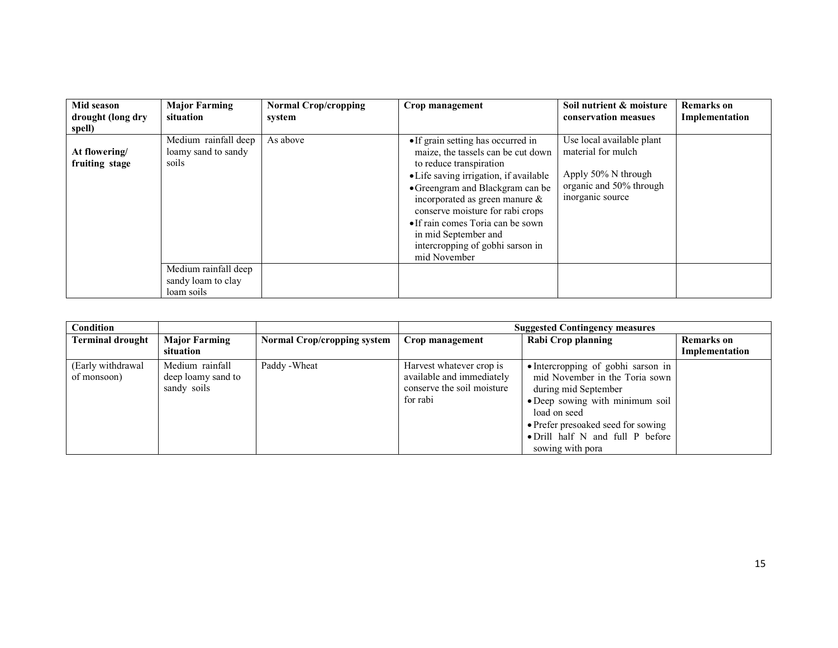| Mid season<br>drought (long dry<br>spell) | <b>Major Farming</b><br>situation                        | <b>Normal Crop/cropping</b><br>system | Crop management                                                                                                                                                                                                                                                                                                                                                             | Soil nutrient & moisture<br>conservation measues                                                                      | <b>Remarks</b> on<br>Implementation |
|-------------------------------------------|----------------------------------------------------------|---------------------------------------|-----------------------------------------------------------------------------------------------------------------------------------------------------------------------------------------------------------------------------------------------------------------------------------------------------------------------------------------------------------------------------|-----------------------------------------------------------------------------------------------------------------------|-------------------------------------|
| At flowering/<br>fruiting stage           | Medium rainfall deep<br>loamy sand to sandy<br>soils     | As above                              | • If grain setting has occurred in<br>maize, the tassels can be cut down<br>to reduce transpiration<br>• Life saving irrigation, if available<br>• Greengram and Blackgram can be<br>incorporated as green manure $\&$<br>conserve moisture for rabi crops<br>• If rain comes Toria can be sown<br>in mid September and<br>intercropping of gobhi sarson in<br>mid November | Use local available plant<br>material for mulch<br>Apply 50% N through<br>organic and 50% through<br>inorganic source |                                     |
|                                           | Medium rainfall deep<br>sandy loam to clay<br>loam soils |                                       |                                                                                                                                                                                                                                                                                                                                                                             |                                                                                                                       |                                     |

| Condition                        |                                                      |                                    |                                                                                                 | <b>Suggested Contingency measures</b>                                                                                                                                                                                                         |                                     |
|----------------------------------|------------------------------------------------------|------------------------------------|-------------------------------------------------------------------------------------------------|-----------------------------------------------------------------------------------------------------------------------------------------------------------------------------------------------------------------------------------------------|-------------------------------------|
| <b>Terminal drought</b>          | <b>Major Farming</b><br>situation                    | <b>Normal Crop/cropping system</b> | Crop management                                                                                 | Rabi Crop planning                                                                                                                                                                                                                            | <b>Remarks</b> on<br>Implementation |
| (Early withdrawal<br>of monsoon) | Medium rainfall<br>deep loamy sand to<br>sandy soils | Paddy - Wheat                      | Harvest whatever crop is<br>available and immediately<br>conserve the soil moisture<br>for rabi | • Intercropping of gobhi sarson in<br>mid November in the Toria sown<br>during mid September<br>• Deep sowing with minimum soil<br>load on seed<br>• Prefer presoaked seed for sowing<br>• Drill half N and full P before<br>sowing with pora |                                     |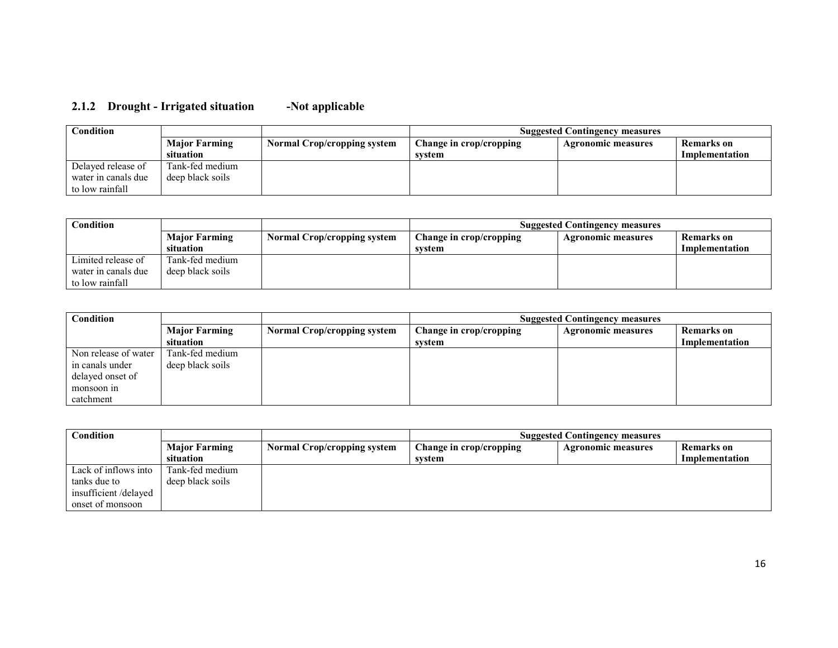#### 2.1.2 Drought - Irrigated situation-Not applicable

| $\mathop{\mathrm{Condition}}$ |                      | <b>Suggested Contingency measures</b> |                         |                    |                |
|-------------------------------|----------------------|---------------------------------------|-------------------------|--------------------|----------------|
|                               | <b>Major Farming</b> | <b>Normal Crop/cropping system</b>    | Change in crop/cropping | Agronomic measures | Remarks on     |
|                               | situation            |                                       | svstem                  |                    | Implementation |
| Delayed release of            | Tank-fed medium      |                                       |                         |                    |                |
| water in canals due           | deep black soils     |                                       |                         |                    |                |
| to low rainfall               |                      |                                       |                         |                    |                |

| $\mathop{\mathrm{Condition}}$ |                      |                                    | <b>Suggested Contingency measures</b> |                           |                |
|-------------------------------|----------------------|------------------------------------|---------------------------------------|---------------------------|----------------|
|                               | <b>Major Farming</b> | <b>Normal Crop/cropping system</b> | Change in crop/cropping               | <b>Agronomic measures</b> | Remarks on     |
|                               | situation            |                                    | svstem                                |                           | Implementation |
| Limited release of            | Tank-fed medium      |                                    |                                       |                           |                |
| water in canals due           | deep black soils     |                                    |                                       |                           |                |
| to low rainfall               |                      |                                    |                                       |                           |                |

| Condition            |                      |                                    | <b>Suggested Contingency measures</b> |                           |                   |
|----------------------|----------------------|------------------------------------|---------------------------------------|---------------------------|-------------------|
|                      | <b>Major Farming</b> | <b>Normal Crop/cropping system</b> | Change in crop/cropping               | <b>Agronomic measures</b> | <b>Remarks</b> on |
|                      | situation            |                                    | svstem                                |                           | Implementation    |
| Non release of water | Tank-fed medium      |                                    |                                       |                           |                   |
| in canals under      | deep black soils     |                                    |                                       |                           |                   |
| delayed onset of     |                      |                                    |                                       |                           |                   |
| monsoon in           |                      |                                    |                                       |                           |                   |
| catchment            |                      |                                    |                                       |                           |                   |

| Condition            |                      | <b>Suggested Contingency measures</b> |                         |                           |                   |
|----------------------|----------------------|---------------------------------------|-------------------------|---------------------------|-------------------|
|                      | <b>Major Farming</b> | <b>Normal Crop/cropping system</b>    | Change in crop/cropping | <b>Agronomic measures</b> | <b>Remarks</b> on |
|                      | situation            |                                       | system                  |                           | Implementation    |
| Lack of inflows into | Tank-fed medium      |                                       |                         |                           |                   |
| tanks due to         | deep black soils     |                                       |                         |                           |                   |
| insufficient/delayed |                      |                                       |                         |                           |                   |
| onset of monsoon     |                      |                                       |                         |                           |                   |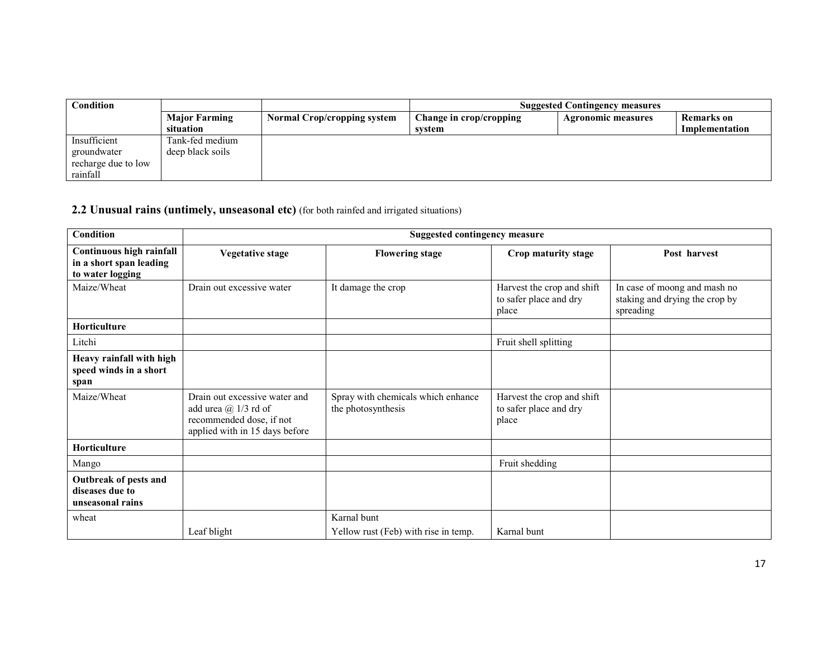| Condition           |                      |                                    |                         | <b>Suggested Contingency measures</b> |                |
|---------------------|----------------------|------------------------------------|-------------------------|---------------------------------------|----------------|
|                     | <b>Major Farming</b> | <b>Normal Crop/cropping system</b> | Change in crop/cropping | <b>Agronomic measures</b>             | Remarks on     |
|                     | situation            |                                    | system                  |                                       | Implementation |
| Insufficient        | Tank-fed medium      |                                    |                         |                                       |                |
| groundwater         | deep black soils     |                                    |                         |                                       |                |
| recharge due to low |                      |                                    |                         |                                       |                |
| rainfall            |                      |                                    |                         |                                       |                |

## 2.2 Unusual rains (untimely, unseasonal etc) (for both rainfed and irrigated situations)

| <b>Condition</b>                                                        |                                                                                                                      | <b>Suggested contingency measure</b>                     |                                                               |                                                                             |
|-------------------------------------------------------------------------|----------------------------------------------------------------------------------------------------------------------|----------------------------------------------------------|---------------------------------------------------------------|-----------------------------------------------------------------------------|
| Continuous high rainfall<br>in a short span leading<br>to water logging | <b>Vegetative stage</b>                                                                                              | <b>Flowering stage</b>                                   | Crop maturity stage                                           | Post harvest                                                                |
| Maize/Wheat                                                             | Drain out excessive water                                                                                            | It damage the crop                                       | Harvest the crop and shift<br>to safer place and dry<br>place | In case of moong and mash no<br>staking and drying the crop by<br>spreading |
| <b>Horticulture</b>                                                     |                                                                                                                      |                                                          |                                                               |                                                                             |
| Litchi                                                                  |                                                                                                                      |                                                          | Fruit shell splitting                                         |                                                                             |
| Heavy rainfall with high<br>speed winds in a short<br>span              |                                                                                                                      |                                                          |                                                               |                                                                             |
| Maize/Wheat                                                             | Drain out excessive water and<br>add urea $@1/3$ rd of<br>recommended dose, if not<br>applied with in 15 days before | Spray with chemicals which enhance<br>the photosynthesis | Harvest the crop and shift<br>to safer place and dry<br>place |                                                                             |
| Horticulture                                                            |                                                                                                                      |                                                          |                                                               |                                                                             |
| Mango                                                                   |                                                                                                                      |                                                          | Fruit shedding                                                |                                                                             |
| Outbreak of pests and<br>diseases due to<br>unseasonal rains            |                                                                                                                      |                                                          |                                                               |                                                                             |
| wheat                                                                   | Leaf blight                                                                                                          | Karnal bunt<br>Yellow rust (Feb) with rise in temp.      | Karnal bunt                                                   |                                                                             |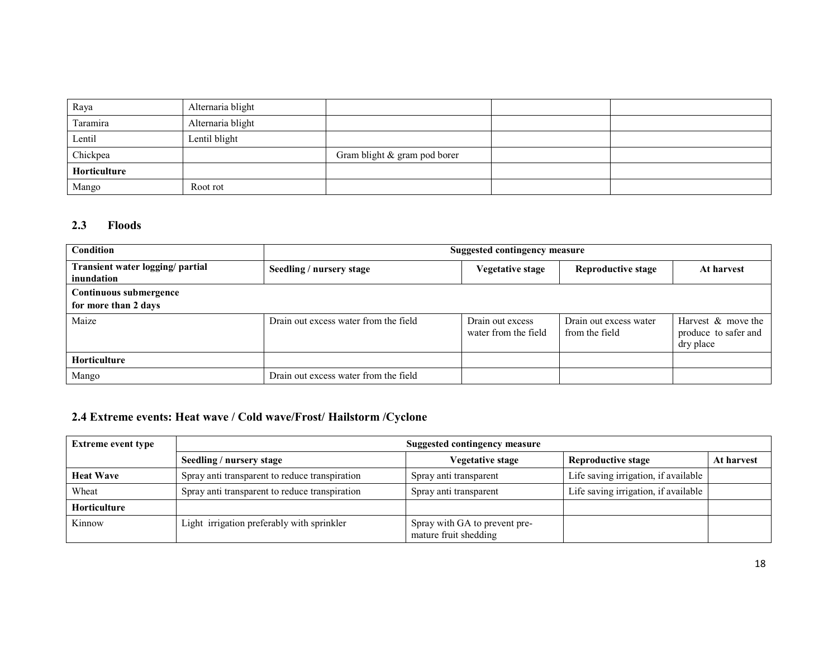| Raya         | Alternaria blight |                              |  |
|--------------|-------------------|------------------------------|--|
| Taramira     | Alternaria blight |                              |  |
| Lentil       | Lentil blight     |                              |  |
| Chickpea     |                   | Gram blight & gram pod borer |  |
| Horticulture |                   |                              |  |
| Mango        | Root rot          |                              |  |

## 2.3 Floods

| Condition                                      | <b>Suggested contingency measure</b>  |                                          |                                          |                                                         |  |  |  |
|------------------------------------------------|---------------------------------------|------------------------------------------|------------------------------------------|---------------------------------------------------------|--|--|--|
| Transient water logging/ partial<br>inundation | Seedling / nursery stage              | Vegetative stage                         | <b>Reproductive stage</b>                | At harvest                                              |  |  |  |
| Continuous submergence                         |                                       |                                          |                                          |                                                         |  |  |  |
| for more than 2 days                           |                                       |                                          |                                          |                                                         |  |  |  |
| Maize                                          | Drain out excess water from the field | Drain out excess<br>water from the field | Drain out excess water<br>from the field | Harvest & move the<br>produce to safer and<br>dry place |  |  |  |
| <b>Horticulture</b>                            |                                       |                                          |                                          |                                                         |  |  |  |
| Mango                                          | Drain out excess water from the field |                                          |                                          |                                                         |  |  |  |

## 2.4 Extreme events: Heat wave / Cold wave/Frost/ Hailstorm /Cyclone

| <b>Extreme event type</b> | <b>Suggested contingency measure</b>           |                                                        |                                      |            |  |  |
|---------------------------|------------------------------------------------|--------------------------------------------------------|--------------------------------------|------------|--|--|
|                           | Seedling / nursery stage                       | Vegetative stage                                       | Reproductive stage                   | At harvest |  |  |
| <b>Heat Wave</b>          | Spray anti transparent to reduce transpiration | Spray anti transparent                                 | Life saving irrigation, if available |            |  |  |
| Wheat                     | Spray anti transparent to reduce transpiration | Spray anti transparent                                 | Life saving irrigation, if available |            |  |  |
| <b>Horticulture</b>       |                                                |                                                        |                                      |            |  |  |
| Kinnow                    | Light irrigation preferably with sprinkler     | Spray with GA to prevent pre-<br>mature fruit shedding |                                      |            |  |  |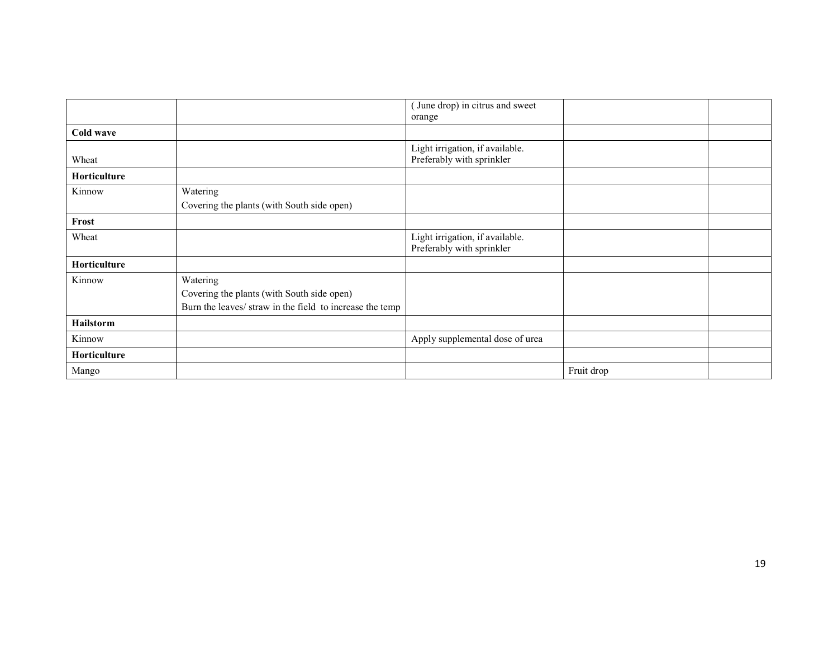|              |                                                                                                                    | (June drop) in citrus and sweet                              |            |  |
|--------------|--------------------------------------------------------------------------------------------------------------------|--------------------------------------------------------------|------------|--|
|              |                                                                                                                    | orange                                                       |            |  |
| Cold wave    |                                                                                                                    |                                                              |            |  |
| Wheat        |                                                                                                                    | Light irrigation, if available.<br>Preferably with sprinkler |            |  |
| Horticulture |                                                                                                                    |                                                              |            |  |
| Kinnow       | Watering                                                                                                           |                                                              |            |  |
|              | Covering the plants (with South side open)                                                                         |                                                              |            |  |
| Frost        |                                                                                                                    |                                                              |            |  |
| Wheat        |                                                                                                                    | Light irrigation, if available.<br>Preferably with sprinkler |            |  |
| Horticulture |                                                                                                                    |                                                              |            |  |
| Kinnow       | Watering<br>Covering the plants (with South side open)<br>Burn the leaves/ straw in the field to increase the temp |                                                              |            |  |
| Hailstorm    |                                                                                                                    |                                                              |            |  |
| Kinnow       |                                                                                                                    | Apply supplemental dose of urea                              |            |  |
| Horticulture |                                                                                                                    |                                                              |            |  |
| Mango        |                                                                                                                    |                                                              | Fruit drop |  |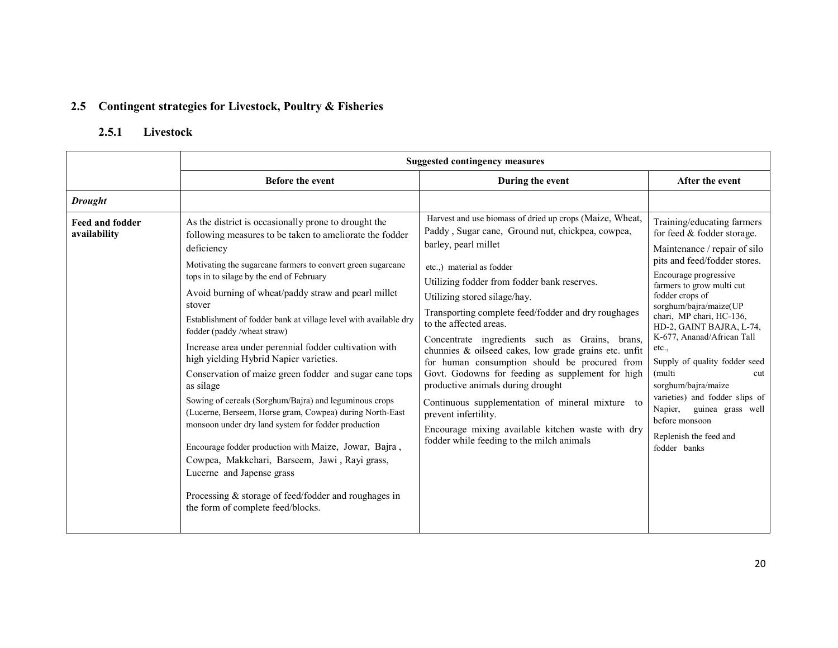## 2.5 Contingent strategies for Livestock, Poultry & Fisheries

## 2.5.1 Livestock

|                                        | <b>Suggested contingency measures</b>                                                                                                                                                                                                                                                                                                                                                                                                                                                                                                                                                                                                                                                                                                                                                                                                                                                                                                                                                                  |                                                                                                                                                                                                                                                                                                                                                                                                                                                                                                                                                                                                                                                                                                                                                                      |                                                                                                                                                                                                                                                                                                                                                                                                                                                                                                                                   |  |  |
|----------------------------------------|--------------------------------------------------------------------------------------------------------------------------------------------------------------------------------------------------------------------------------------------------------------------------------------------------------------------------------------------------------------------------------------------------------------------------------------------------------------------------------------------------------------------------------------------------------------------------------------------------------------------------------------------------------------------------------------------------------------------------------------------------------------------------------------------------------------------------------------------------------------------------------------------------------------------------------------------------------------------------------------------------------|----------------------------------------------------------------------------------------------------------------------------------------------------------------------------------------------------------------------------------------------------------------------------------------------------------------------------------------------------------------------------------------------------------------------------------------------------------------------------------------------------------------------------------------------------------------------------------------------------------------------------------------------------------------------------------------------------------------------------------------------------------------------|-----------------------------------------------------------------------------------------------------------------------------------------------------------------------------------------------------------------------------------------------------------------------------------------------------------------------------------------------------------------------------------------------------------------------------------------------------------------------------------------------------------------------------------|--|--|
|                                        | <b>Before the event</b>                                                                                                                                                                                                                                                                                                                                                                                                                                                                                                                                                                                                                                                                                                                                                                                                                                                                                                                                                                                | During the event                                                                                                                                                                                                                                                                                                                                                                                                                                                                                                                                                                                                                                                                                                                                                     | After the event                                                                                                                                                                                                                                                                                                                                                                                                                                                                                                                   |  |  |
| <b>Drought</b>                         |                                                                                                                                                                                                                                                                                                                                                                                                                                                                                                                                                                                                                                                                                                                                                                                                                                                                                                                                                                                                        |                                                                                                                                                                                                                                                                                                                                                                                                                                                                                                                                                                                                                                                                                                                                                                      |                                                                                                                                                                                                                                                                                                                                                                                                                                                                                                                                   |  |  |
| <b>Feed and fodder</b><br>availability | As the district is occasionally prone to drought the<br>following measures to be taken to ameliorate the fodder<br>deficiency<br>Motivating the sugarcane farmers to convert green sugarcane<br>tops in to silage by the end of February<br>Avoid burning of wheat/paddy straw and pearl millet<br>stover<br>Establishment of fodder bank at village level with available dry<br>fodder (paddy/wheat straw)<br>Increase area under perennial fodder cultivation with<br>high yielding Hybrid Napier varieties.<br>Conservation of maize green fodder and sugar cane tops<br>as silage<br>Sowing of cereals (Sorghum/Bajra) and leguminous crops<br>(Lucerne, Berseem, Horse gram, Cowpea) during North-East<br>monsoon under dry land system for fodder production<br>Encourage fodder production with Maize, Jowar, Bajra,<br>Cowpea, Makkchari, Barseem, Jawi, Rayi grass,<br>Lucerne and Japense grass<br>Processing & storage of feed/fodder and roughages in<br>the form of complete feed/blocks. | Harvest and use biomass of dried up crops (Maize, Wheat,<br>Paddy, Sugar cane, Ground nut, chickpea, cowpea,<br>barley, pearl millet<br>etc.,) material as fodder<br>Utilizing fodder from fodder bank reserves.<br>Utilizing stored silage/hay.<br>Transporting complete feed/fodder and dry roughages<br>to the affected areas.<br>Concentrate ingredients such as Grains, brans,<br>chunnies & oilseed cakes, low grade grains etc. unfit<br>for human consumption should be procured from<br>Govt. Godowns for feeding as supplement for high<br>productive animals during drought<br>Continuous supplementation of mineral mixture to<br>prevent infertility.<br>Encourage mixing available kitchen waste with dry<br>fodder while feeding to the milch animals | Training/educating farmers<br>for feed & fodder storage.<br>Maintenance / repair of silo<br>pits and feed/fodder stores.<br>Encourage progressive<br>farmers to grow multi cut<br>fodder crops of<br>sorghum/bajra/maize(UP<br>chari, MP chari, HC-136,<br>HD-2, GAINT BAJRA, L-74,<br>K-677, Ananad/African Tall<br>etc.,<br>Supply of quality fodder seed<br>(multi<br>cut<br>sorghum/bajra/maize<br>varieties) and fodder slips of<br>guinea grass well<br>Napier,<br>before monsoon<br>Replenish the feed and<br>fodder banks |  |  |
|                                        |                                                                                                                                                                                                                                                                                                                                                                                                                                                                                                                                                                                                                                                                                                                                                                                                                                                                                                                                                                                                        |                                                                                                                                                                                                                                                                                                                                                                                                                                                                                                                                                                                                                                                                                                                                                                      |                                                                                                                                                                                                                                                                                                                                                                                                                                                                                                                                   |  |  |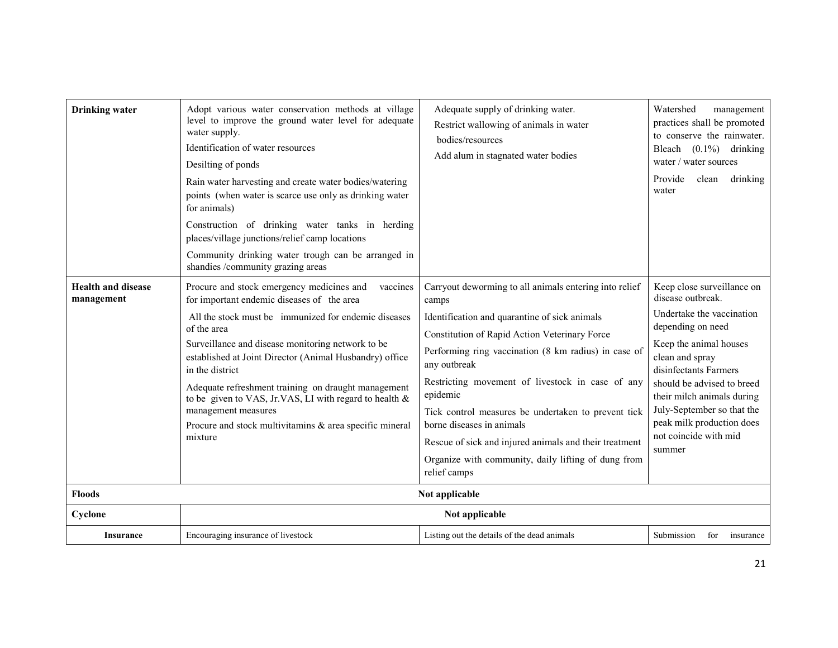| <b>Drinking</b> water                   | Adopt various water conservation methods at village<br>level to improve the ground water level for adequate<br>water supply.<br>Identification of water resources<br>Desilting of ponds<br>Rain water harvesting and create water bodies/watering<br>points (when water is scarce use only as drinking water<br>for animals)<br>Construction of drinking water tanks in herding<br>places/village junctions/relief camp locations<br>Community drinking water trough can be arranged in<br>shandies /community grazing areas | Adequate supply of drinking water.<br>Restrict wallowing of animals in water<br>bodies/resources<br>Add alum in stagnated water bodies                                                                                                                                                                                                                                                                                                                                                                                         | Watershed<br>management<br>practices shall be promoted<br>to conserve the rainwater.<br>Bleach $(0.1\%)$ drinking<br>water / water sources<br>Provide<br>clean<br>drinking<br>water                                                                                                                                               |
|-----------------------------------------|------------------------------------------------------------------------------------------------------------------------------------------------------------------------------------------------------------------------------------------------------------------------------------------------------------------------------------------------------------------------------------------------------------------------------------------------------------------------------------------------------------------------------|--------------------------------------------------------------------------------------------------------------------------------------------------------------------------------------------------------------------------------------------------------------------------------------------------------------------------------------------------------------------------------------------------------------------------------------------------------------------------------------------------------------------------------|-----------------------------------------------------------------------------------------------------------------------------------------------------------------------------------------------------------------------------------------------------------------------------------------------------------------------------------|
| <b>Health and disease</b><br>management | Procure and stock emergency medicines and<br>vaccines<br>for important endemic diseases of the area<br>All the stock must be immunized for endemic diseases<br>of the area<br>Surveillance and disease monitoring network to be<br>established at Joint Director (Animal Husbandry) office<br>in the district<br>Adequate refreshment training on draught management<br>to be given to VAS, Jr.VAS, LI with regard to health &<br>management measures<br>Procure and stock multivitamins & area specific mineral<br>mixture  | Carryout deworming to all animals entering into relief<br>camps<br>Identification and quarantine of sick animals<br>Constitution of Rapid Action Veterinary Force<br>Performing ring vaccination (8 km radius) in case of<br>any outbreak<br>Restricting movement of livestock in case of any<br>epidemic<br>Tick control measures be undertaken to prevent tick<br>borne diseases in animals<br>Rescue of sick and injured animals and their treatment<br>Organize with community, daily lifting of dung from<br>relief camps | Keep close surveillance on<br>disease outbreak.<br>Undertake the vaccination<br>depending on need<br>Keep the animal houses<br>clean and spray<br>disinfectants Farmers<br>should be advised to breed<br>their milch animals during<br>July-September so that the<br>peak milk production does<br>not coincide with mid<br>summer |
| <b>Floods</b>                           |                                                                                                                                                                                                                                                                                                                                                                                                                                                                                                                              | Not applicable                                                                                                                                                                                                                                                                                                                                                                                                                                                                                                                 |                                                                                                                                                                                                                                                                                                                                   |
| Cyclone                                 |                                                                                                                                                                                                                                                                                                                                                                                                                                                                                                                              | Not applicable                                                                                                                                                                                                                                                                                                                                                                                                                                                                                                                 |                                                                                                                                                                                                                                                                                                                                   |
| <b>Insurance</b>                        | Encouraging insurance of livestock                                                                                                                                                                                                                                                                                                                                                                                                                                                                                           | Listing out the details of the dead animals                                                                                                                                                                                                                                                                                                                                                                                                                                                                                    | Submission<br>for<br>insurance                                                                                                                                                                                                                                                                                                    |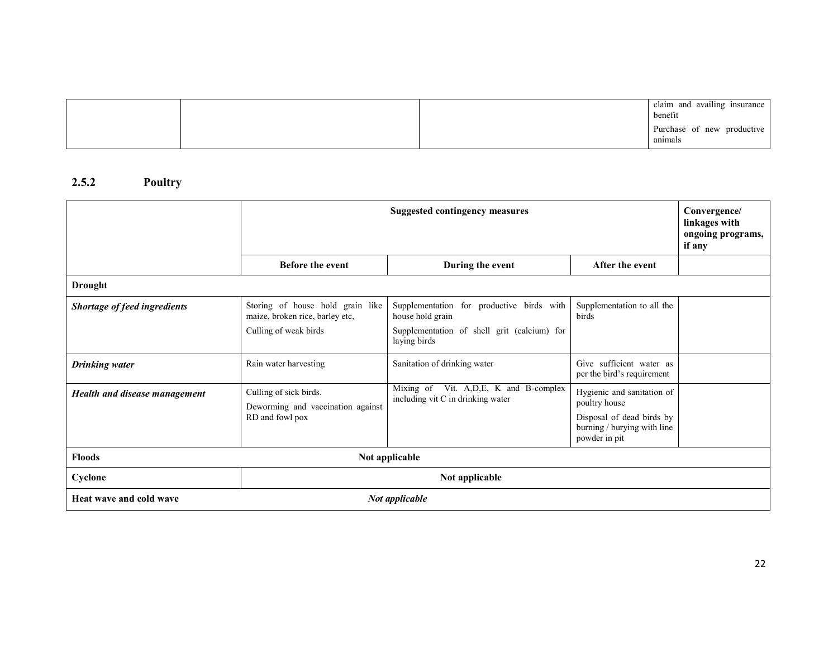|  | claim and availing insurance<br>benefit |
|--|-----------------------------------------|
|  | Purchase of new productive<br>anımals   |

### 2.5.2 Poultry

|                               | <b>Suggested contingency measures</b>                                                        |                                                                                                                              | Convergence/<br>linkages with<br>ongoing programs,<br>if any                                                             |  |
|-------------------------------|----------------------------------------------------------------------------------------------|------------------------------------------------------------------------------------------------------------------------------|--------------------------------------------------------------------------------------------------------------------------|--|
|                               | <b>Before the event</b>                                                                      | During the event                                                                                                             | After the event                                                                                                          |  |
| <b>Drought</b>                |                                                                                              |                                                                                                                              |                                                                                                                          |  |
| Shortage of feed ingredients  | Storing of house hold grain like<br>maize, broken rice, barley etc,<br>Culling of weak birds | Supplementation for productive birds with<br>house hold grain<br>Supplementation of shell grit (calcium) for<br>laying birds | Supplementation to all the<br>birds                                                                                      |  |
| <b>Drinking water</b>         | Rain water harvesting                                                                        | Sanitation of drinking water                                                                                                 | Give sufficient water as<br>per the bird's requirement                                                                   |  |
| Health and disease management | Culling of sick birds.<br>Deworming and vaccination against<br>RD and fowl pox               | Mixing of Vit. A, D, E, K and B-complex<br>including vit C in drinking water                                                 | Hygienic and sanitation of<br>poultry house<br>Disposal of dead birds by<br>burning / burying with line<br>powder in pit |  |
| <b>Floods</b>                 |                                                                                              | Not applicable                                                                                                               |                                                                                                                          |  |
| Cyclone                       | Not applicable                                                                               |                                                                                                                              |                                                                                                                          |  |
| Heat wave and cold wave       |                                                                                              | Not applicable                                                                                                               |                                                                                                                          |  |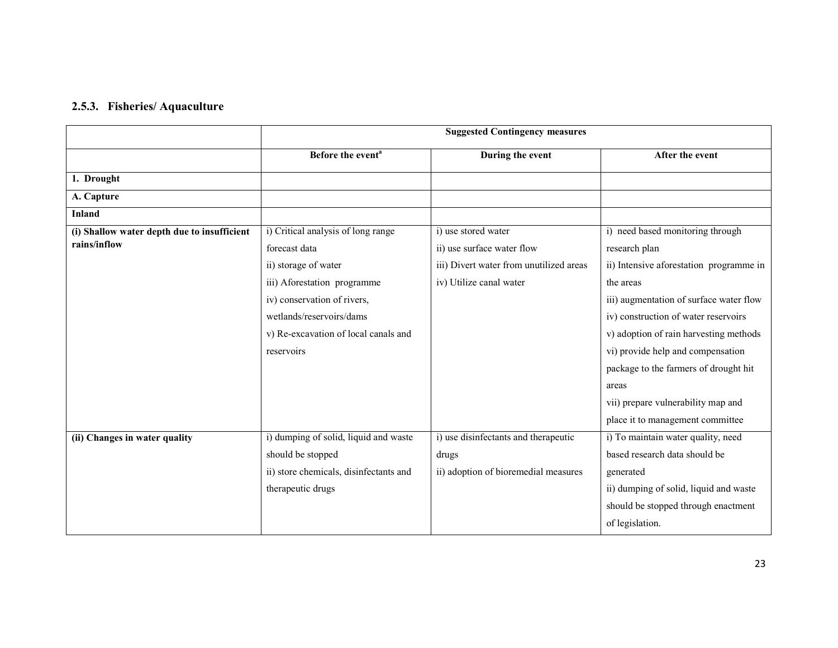### 2.5.3. Fisheries/ Aquaculture

|                                             |                                        | <b>Suggested Contingency measures</b>   |                                         |
|---------------------------------------------|----------------------------------------|-----------------------------------------|-----------------------------------------|
|                                             | Before the event <sup>a</sup>          | During the event                        | After the event                         |
| 1. Drought                                  |                                        |                                         |                                         |
| A. Capture                                  |                                        |                                         |                                         |
| <b>Inland</b>                               |                                        |                                         |                                         |
| (i) Shallow water depth due to insufficient | i) Critical analysis of long range     | i) use stored water                     | i) need based monitoring through        |
| rains/inflow                                | forecast data                          | ii) use surface water flow              | research plan                           |
|                                             | ii) storage of water                   | iii) Divert water from unutilized areas | ii) Intensive aforestation programme in |
|                                             | iii) Aforestation programme            | iv) Utilize canal water                 | the areas                               |
|                                             | iv) conservation of rivers,            |                                         | iii) augmentation of surface water flow |
|                                             | wetlands/reservoirs/dams               |                                         | iv) construction of water reservoirs    |
|                                             | v) Re-excavation of local canals and   |                                         | v) adoption of rain harvesting methods  |
|                                             | reservoirs                             |                                         | vi) provide help and compensation       |
|                                             |                                        |                                         | package to the farmers of drought hit   |
|                                             |                                        |                                         | areas                                   |
|                                             |                                        |                                         | vii) prepare vulnerability map and      |
|                                             |                                        |                                         | place it to management committee        |
| (ii) Changes in water quality               | i) dumping of solid, liquid and waste  | i) use disinfectants and therapeutic    | i) To maintain water quality, need      |
|                                             | should be stopped                      | drugs                                   | based research data should be           |
|                                             | ii) store chemicals, disinfectants and | ii) adoption of bioremedial measures    | generated                               |
|                                             | therapeutic drugs                      |                                         | ii) dumping of solid, liquid and waste  |
|                                             |                                        |                                         | should be stopped through enactment     |
|                                             |                                        |                                         | of legislation.                         |
|                                             |                                        |                                         |                                         |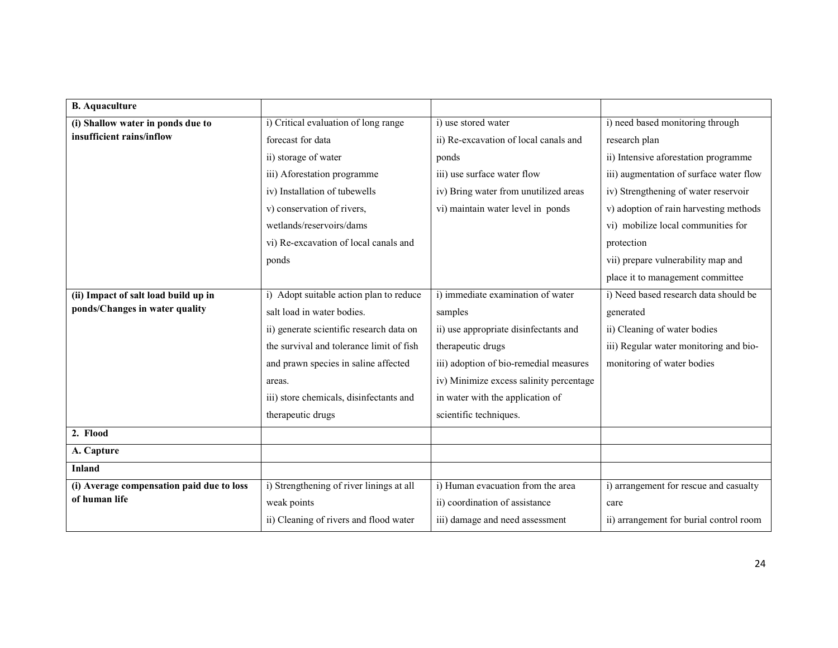| <b>B.</b> Aquaculture                     |                                          |                                         |                                         |
|-------------------------------------------|------------------------------------------|-----------------------------------------|-----------------------------------------|
| (i) Shallow water in ponds due to         | i) Critical evaluation of long range     | i) use stored water                     | i) need based monitoring through        |
| insufficient rains/inflow                 | forecast for data                        | ii) Re-excavation of local canals and   | research plan                           |
|                                           | ii) storage of water                     | ponds                                   | ii) Intensive aforestation programme    |
|                                           | iii) Aforestation programme              | iii) use surface water flow             | iii) augmentation of surface water flow |
|                                           | iv) Installation of tubewells            | iv) Bring water from unutilized areas   | iv) Strengthening of water reservoir    |
|                                           | v) conservation of rivers,               | vi) maintain water level in ponds       | v) adoption of rain harvesting methods  |
|                                           | wetlands/reservoirs/dams                 |                                         | vi) mobilize local communities for      |
|                                           | vi) Re-excavation of local canals and    |                                         | protection                              |
|                                           | ponds                                    |                                         | vii) prepare vulnerability map and      |
|                                           |                                          |                                         | place it to management committee        |
| (ii) Impact of salt load build up in      | i) Adopt suitable action plan to reduce  | i) immediate examination of water       | i) Need based research data should be   |
| ponds/Changes in water quality            | salt load in water bodies.               | samples                                 | generated                               |
|                                           | ii) generate scientific research data on | ii) use appropriate disinfectants and   | ii) Cleaning of water bodies            |
|                                           | the survival and tolerance limit of fish | therapeutic drugs                       | iii) Regular water monitoring and bio-  |
|                                           | and prawn species in saline affected     | iii) adoption of bio-remedial measures  | monitoring of water bodies              |
|                                           | areas.                                   | iv) Minimize excess salinity percentage |                                         |
|                                           | iii) store chemicals, disinfectants and  | in water with the application of        |                                         |
|                                           | therapeutic drugs                        | scientific techniques.                  |                                         |
| 2. Flood                                  |                                          |                                         |                                         |
| A. Capture                                |                                          |                                         |                                         |
| <b>Inland</b>                             |                                          |                                         |                                         |
| (i) Average compensation paid due to loss | i) Strengthening of river linings at all | i) Human evacuation from the area       | i) arrangement for rescue and casualty  |
| of human life                             | weak points                              | ii) coordination of assistance          | care                                    |
|                                           | ii) Cleaning of rivers and flood water   | iii) damage and need assessment         | ii) arrangement for burial control room |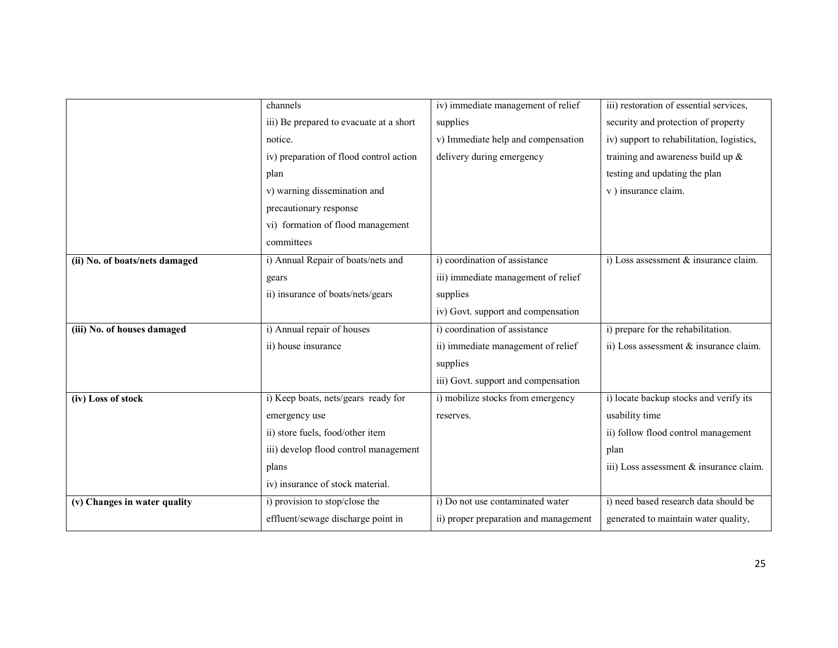|                                | channels                                | iv) immediate management of relief    | iii) restoration of essential services,   |
|--------------------------------|-----------------------------------------|---------------------------------------|-------------------------------------------|
|                                | iii) Be prepared to evacuate at a short | supplies                              | security and protection of property       |
|                                | notice.                                 | v) Immediate help and compensation    | iv) support to rehabilitation, logistics, |
|                                | iv) preparation of flood control action | delivery during emergency             | training and awareness build up $\&$      |
|                                | plan                                    |                                       | testing and updating the plan             |
|                                | v) warning dissemination and            |                                       | v) insurance claim.                       |
|                                | precautionary response                  |                                       |                                           |
|                                | vi) formation of flood management       |                                       |                                           |
|                                | committees                              |                                       |                                           |
| (ii) No. of boats/nets damaged | i) Annual Repair of boats/nets and      | i) coordination of assistance         | i) Loss assessment & insurance claim.     |
|                                | gears                                   | iii) immediate management of relief   |                                           |
|                                | ii) insurance of boats/nets/gears       | supplies                              |                                           |
|                                |                                         | iv) Govt. support and compensation    |                                           |
| (iii) No. of houses damaged    | i) Annual repair of houses              | i) coordination of assistance         | i) prepare for the rehabilitation.        |
|                                | ii) house insurance                     | ii) immediate management of relief    | ii) Loss assessment $&$ insurance claim.  |
|                                |                                         | supplies                              |                                           |
|                                |                                         | iii) Govt. support and compensation   |                                           |
| (iv) Loss of stock             | i) Keep boats, nets/gears ready for     | i) mobilize stocks from emergency     | i) locate backup stocks and verify its    |
|                                | emergency use                           | reserves.                             | usability time                            |
|                                | ii) store fuels, food/other item        |                                       | ii) follow flood control management       |
|                                | iii) develop flood control management   |                                       | plan                                      |
|                                | plans                                   |                                       | iii) Loss assessment & insurance claim.   |
|                                | iv) insurance of stock material.        |                                       |                                           |
| (v) Changes in water quality   | i) provision to stop/close the          | i) Do not use contaminated water      | i) need based research data should be     |
|                                | effluent/sewage discharge point in      | ii) proper preparation and management | generated to maintain water quality,      |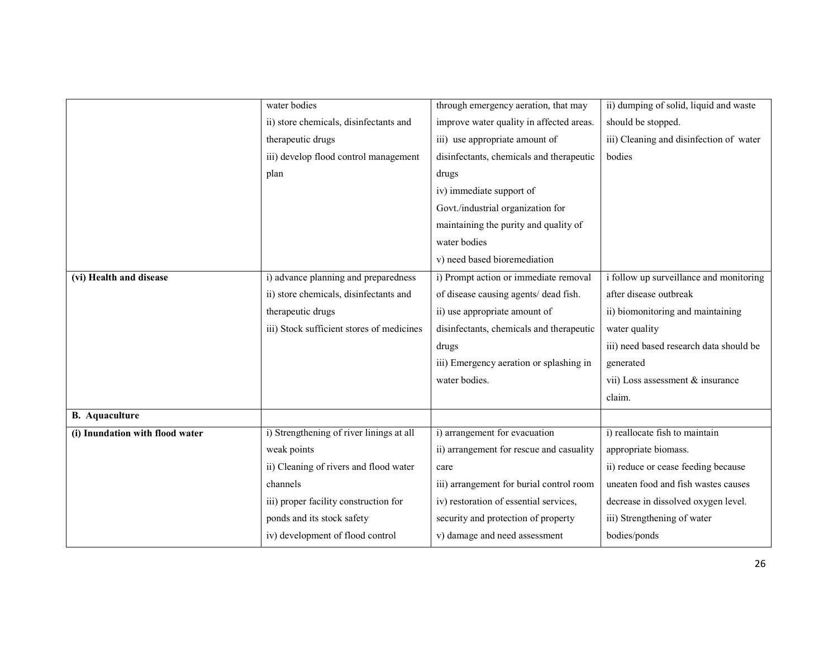|                                 | water bodies                              | through emergency aeration, that may     | ii) dumping of solid, liquid and waste  |
|---------------------------------|-------------------------------------------|------------------------------------------|-----------------------------------------|
|                                 | ii) store chemicals, disinfectants and    | improve water quality in affected areas. | should be stopped.                      |
|                                 | therapeutic drugs                         | iii) use appropriate amount of           | iii) Cleaning and disinfection of water |
|                                 | iii) develop flood control management     | disinfectants, chemicals and therapeutic | bodies                                  |
|                                 | plan                                      | drugs                                    |                                         |
|                                 |                                           | iv) immediate support of                 |                                         |
|                                 |                                           | Govt./industrial organization for        |                                         |
|                                 |                                           | maintaining the purity and quality of    |                                         |
|                                 |                                           | water bodies                             |                                         |
|                                 |                                           | v) need based bioremediation             |                                         |
| (vi) Health and disease         | i) advance planning and preparedness      | i) Prompt action or immediate removal    | i follow up surveillance and monitoring |
|                                 | ii) store chemicals, disinfectants and    | of disease causing agents/ dead fish.    | after disease outbreak                  |
|                                 | therapeutic drugs                         | ii) use appropriate amount of            | ii) biomonitoring and maintaining       |
|                                 | iii) Stock sufficient stores of medicines | disinfectants, chemicals and therapeutic | water quality                           |
|                                 |                                           | drugs                                    | iii) need based research data should be |
|                                 |                                           | iii) Emergency aeration or splashing in  | generated                               |
|                                 |                                           | water bodies.                            | vii) Loss assessment & insurance        |
|                                 |                                           |                                          | claim.                                  |
| <b>B.</b> Aquaculture           |                                           |                                          |                                         |
| (i) Inundation with flood water | i) Strengthening of river linings at all  | i) arrangement for evacuation            | i) reallocate fish to maintain          |
|                                 | weak points                               | ii) arrangement for rescue and casuality | appropriate biomass.                    |
|                                 | ii) Cleaning of rivers and flood water    | care                                     | ii) reduce or cease feeding because     |
|                                 | channels                                  | iii) arrangement for burial control room | uneaten food and fish wastes causes     |
|                                 | iii) proper facility construction for     | iv) restoration of essential services,   | decrease in dissolved oxygen level.     |
|                                 | ponds and its stock safety                | security and protection of property      | iii) Strengthening of water             |
|                                 | iv) development of flood control          | v) damage and need assessment            | bodies/ponds                            |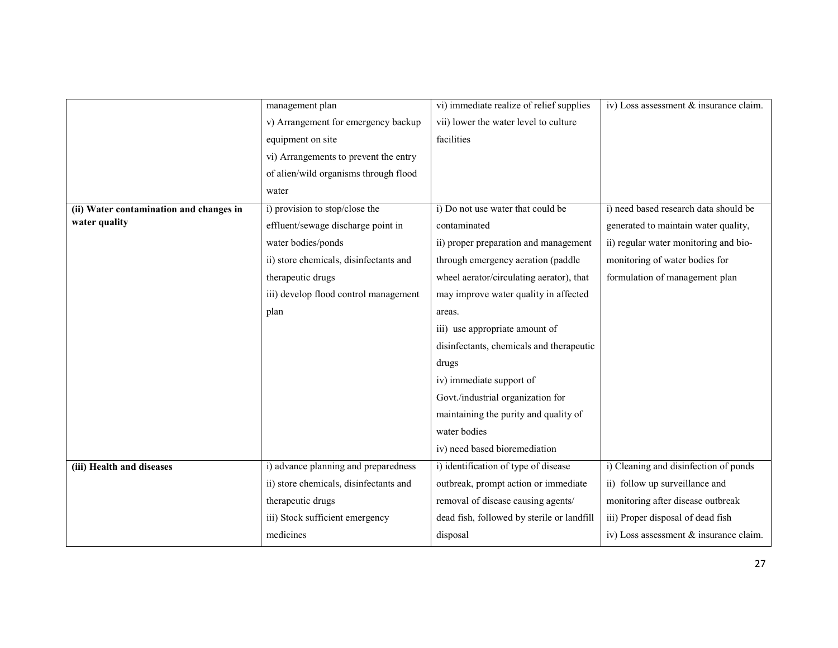|                                         | management plan                        | vi) immediate realize of relief supplies   | iv) Loss assessment & insurance claim. |
|-----------------------------------------|----------------------------------------|--------------------------------------------|----------------------------------------|
|                                         | v) Arrangement for emergency backup    | vii) lower the water level to culture      |                                        |
|                                         | equipment on site                      | facilities                                 |                                        |
|                                         | vi) Arrangements to prevent the entry  |                                            |                                        |
|                                         | of alien/wild organisms through flood  |                                            |                                        |
|                                         | water                                  |                                            |                                        |
| (ii) Water contamination and changes in | i) provision to stop/close the         | i) Do not use water that could be          | i) need based research data should be  |
| water quality                           | effluent/sewage discharge point in     | contaminated                               | generated to maintain water quality,   |
|                                         | water bodies/ponds                     | ii) proper preparation and management      | ii) regular water monitoring and bio-  |
|                                         | ii) store chemicals, disinfectants and | through emergency aeration (paddle         | monitoring of water bodies for         |
|                                         | therapeutic drugs                      | wheel aerator/circulating aerator), that   | formulation of management plan         |
|                                         | iii) develop flood control management  | may improve water quality in affected      |                                        |
|                                         | plan                                   | areas.                                     |                                        |
|                                         |                                        | iii) use appropriate amount of             |                                        |
|                                         |                                        | disinfectants, chemicals and therapeutic   |                                        |
|                                         |                                        | drugs                                      |                                        |
|                                         |                                        | iv) immediate support of                   |                                        |
|                                         |                                        | Govt./industrial organization for          |                                        |
|                                         |                                        | maintaining the purity and quality of      |                                        |
|                                         |                                        | water bodies                               |                                        |
|                                         |                                        | iv) need based bioremediation              |                                        |
| (iii) Health and diseases               | i) advance planning and preparedness   | i) identification of type of disease       | i) Cleaning and disinfection of ponds  |
|                                         | ii) store chemicals, disinfectants and | outbreak, prompt action or immediate       | ii) follow up surveillance and         |
|                                         | therapeutic drugs                      | removal of disease causing agents/         | monitoring after disease outbreak      |
|                                         | iii) Stock sufficient emergency        | dead fish, followed by sterile or landfill | iii) Proper disposal of dead fish      |
|                                         | medicines                              | disposal                                   | iv) Loss assessment & insurance claim. |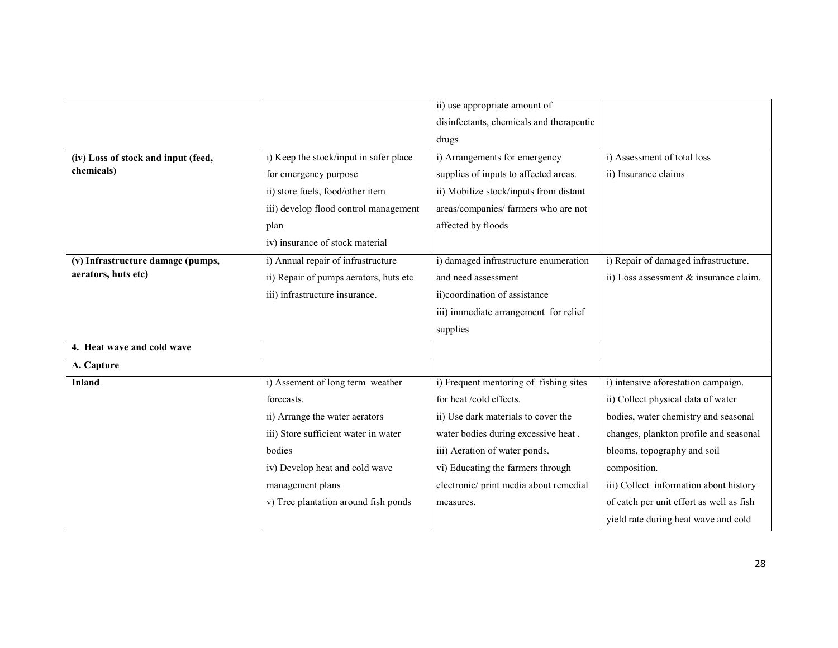|                                     |                                        | ii) use appropriate amount of            |                                          |
|-------------------------------------|----------------------------------------|------------------------------------------|------------------------------------------|
|                                     |                                        | disinfectants, chemicals and therapeutic |                                          |
|                                     |                                        | drugs                                    |                                          |
| (iv) Loss of stock and input (feed, | i) Keep the stock/input in safer place | i) Arrangements for emergency            | i) Assessment of total loss              |
| chemicals)                          | for emergency purpose                  | supplies of inputs to affected areas.    | ii) Insurance claims                     |
|                                     | ii) store fuels, food/other item       | ii) Mobilize stock/inputs from distant   |                                          |
|                                     | iii) develop flood control management  | areas/companies/ farmers who are not     |                                          |
|                                     | plan                                   | affected by floods                       |                                          |
|                                     | iv) insurance of stock material        |                                          |                                          |
| (v) Infrastructure damage (pumps,   | i) Annual repair of infrastructure     | i) damaged infrastructure enumeration    | i) Repair of damaged infrastructure.     |
| aerators, huts etc)                 | ii) Repair of pumps aerators, huts etc | and need assessment                      | ii) Loss assessment & insurance claim.   |
|                                     | iii) infrastructure insurance.         | ii)coordination of assistance            |                                          |
|                                     |                                        | iii) immediate arrangement for relief    |                                          |
|                                     |                                        | supplies                                 |                                          |
| 4. Heat wave and cold wave          |                                        |                                          |                                          |
| A. Capture                          |                                        |                                          |                                          |
| Inland                              | i) Assement of long term weather       | i) Frequent mentoring of fishing sites   | i) intensive aforestation campaign.      |
|                                     | forecasts.                             | for heat /cold effects.                  | ii) Collect physical data of water       |
|                                     | ii) Arrange the water aerators         | ii) Use dark materials to cover the      | bodies, water chemistry and seasonal     |
|                                     | iii) Store sufficient water in water   | water bodies during excessive heat.      | changes, plankton profile and seasonal   |
|                                     | bodies                                 | iii) Aeration of water ponds.            | blooms, topography and soil              |
|                                     | iv) Develop heat and cold wave         | vi) Educating the farmers through        | composition.                             |
|                                     | management plans                       | electronic/print media about remedial    | iii) Collect information about history   |
|                                     | v) Tree plantation around fish ponds   | measures.                                | of catch per unit effort as well as fish |
|                                     |                                        |                                          | yield rate during heat wave and cold     |